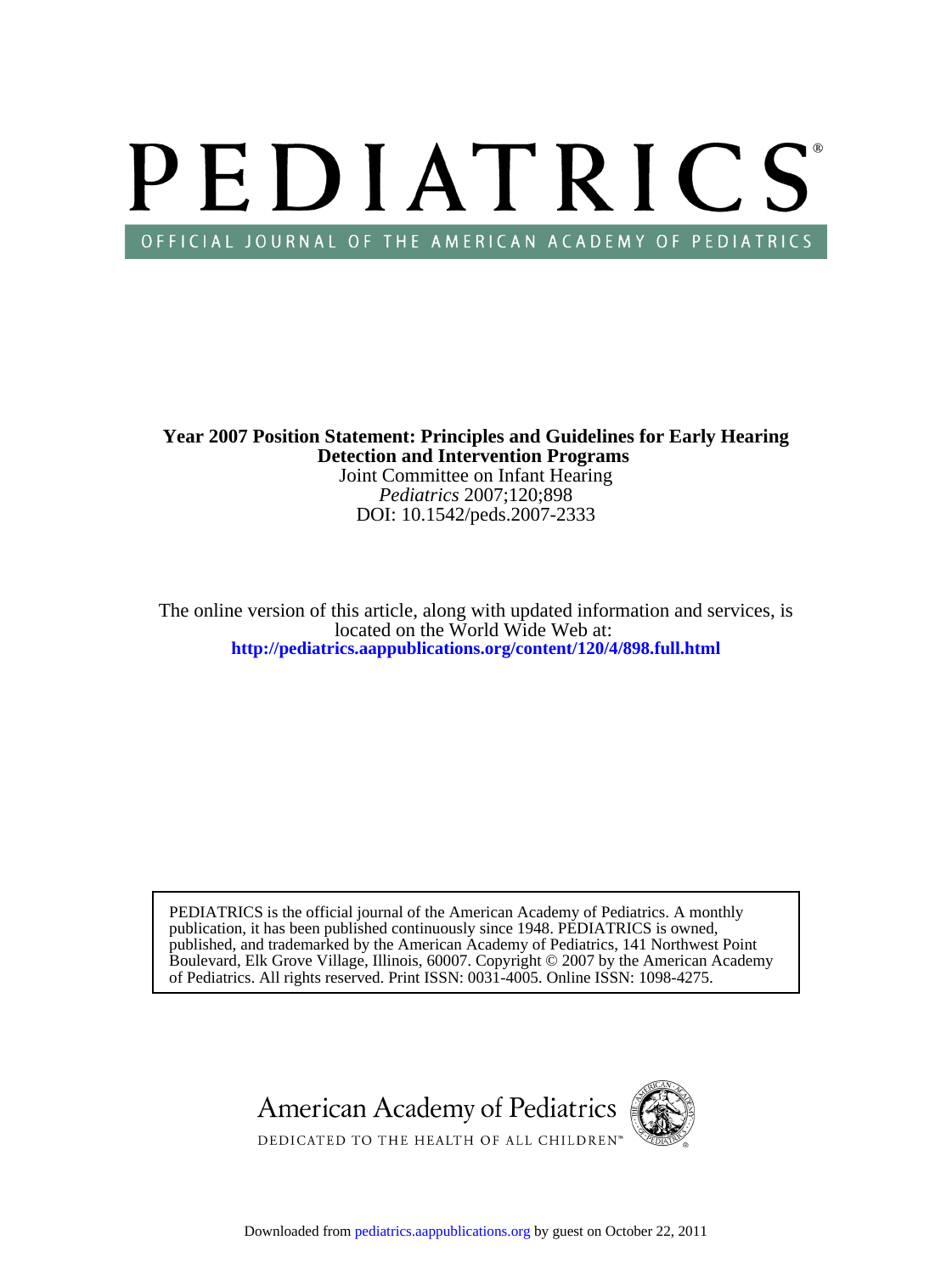# PEDIATRICS OFFICIAL JOURNAL OF THE AMERICAN ACADEMY OF PEDIATRICS

**Detection and Intervention Programs Year 2007 Position Statement: Principles and Guidelines for Early Hearing**

DOI: 10.1542/peds.2007-2333 *Pediatrics* 2007;120;898 Joint Committee on Infant Hearing

**<http://pediatrics.aappublications.org/content/120/4/898.full.html>** located on the World Wide Web at: The online version of this article, along with updated information and services, is

of Pediatrics. All rights reserved. Print ISSN: 0031-4005. Online ISSN: 1098-4275. Boulevard, Elk Grove Village, Illinois, 60007. Copyright © 2007 by the American Academy published, and trademarked by the American Academy of Pediatrics, 141 Northwest Point publication, it has been published continuously since 1948. PEDIATRICS is owned, PEDIATRICS is the official journal of the American Academy of Pediatrics. A monthly

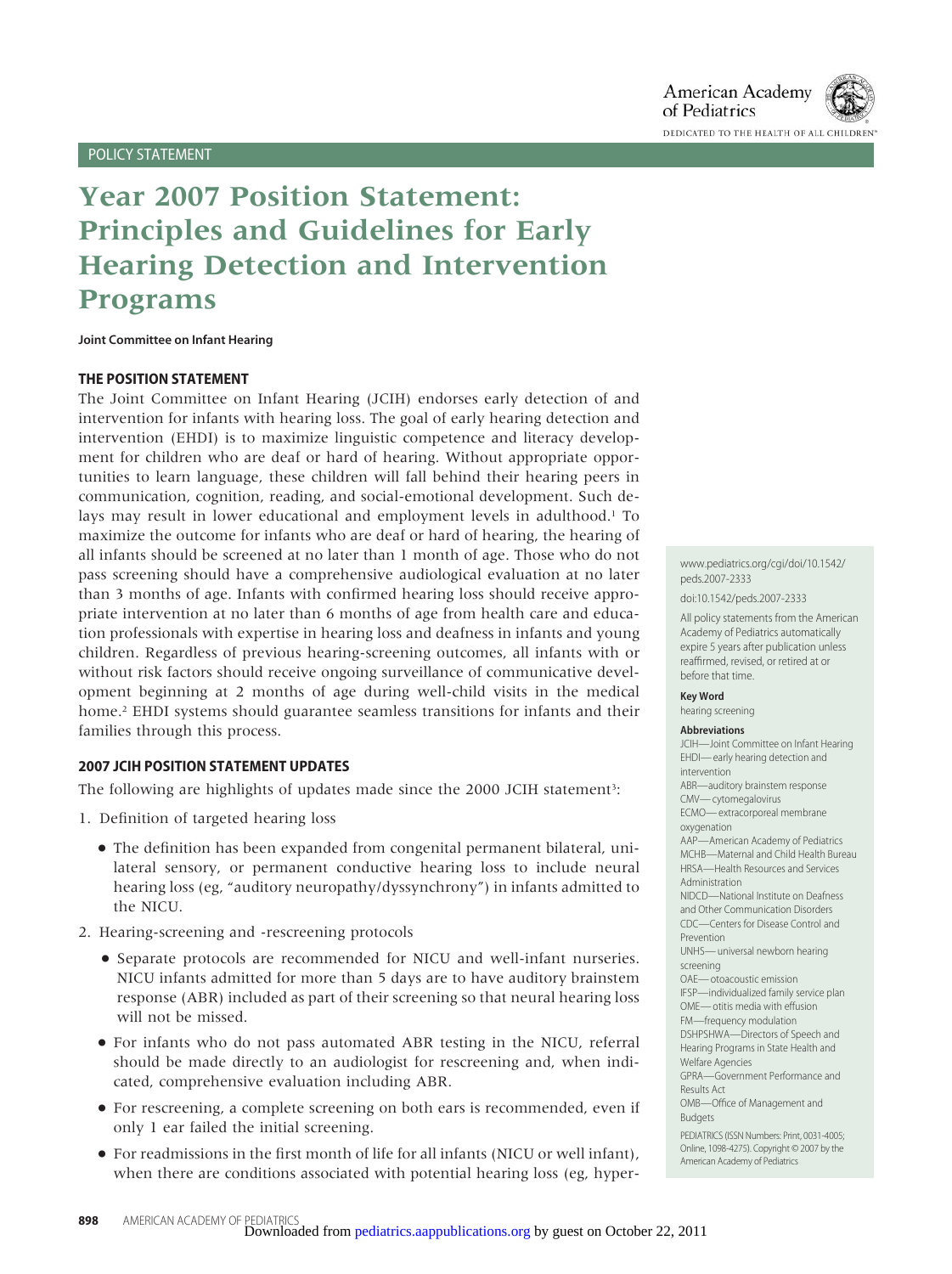POLICY STATEMENT

# **Year 2007 Position Statement: Principles and Guidelines for Early Hearing Detection and Intervention Programs**

**Joint Committee on Infant Hearing**

#### **THE POSITION STATEMENT**

The Joint Committee on Infant Hearing (JCIH) endorses early detection of and intervention for infants with hearing loss. The goal of early hearing detection and intervention (EHDI) is to maximize linguistic competence and literacy development for children who are deaf or hard of hearing. Without appropriate opportunities to learn language, these children will fall behind their hearing peers in communication, cognition, reading, and social-emotional development. Such delays may result in lower educational and employment levels in adulthood.<sup>1</sup> To maximize the outcome for infants who are deaf or hard of hearing, the hearing of all infants should be screened at no later than 1 month of age. Those who do not pass screening should have a comprehensive audiological evaluation at no later than 3 months of age. Infants with confirmed hearing loss should receive appropriate intervention at no later than 6 months of age from health care and education professionals with expertise in hearing loss and deafness in infants and young children. Regardless of previous hearing-screening outcomes, all infants with or without risk factors should receive ongoing surveillance of communicative development beginning at 2 months of age during well-child visits in the medical home.<sup>2</sup> EHDI systems should guarantee seamless transitions for infants and their families through this process.

#### **2007 JCIH POSITION STATEMENT UPDATES**

The following are highlights of updates made since the  $2000$  JCIH statement<sup>3</sup>:

- 1. Definition of targeted hearing loss
	- The definition has been expanded from congenital permanent bilateral, unilateral sensory, or permanent conductive hearing loss to include neural hearing loss (eg, "auditory neuropathy/dyssynchrony") in infants admitted to the NICU.
- 2. Hearing-screening and -rescreening protocols
	- Separate protocols are recommended for NICU and well-infant nurseries. NICU infants admitted for more than 5 days are to have auditory brainstem response (ABR) included as part of their screening so that neural hearing loss will not be missed.
	- For infants who do not pass automated ABR testing in the NICU, referral should be made directly to an audiologist for rescreening and, when indicated, comprehensive evaluation including ABR.
	- For rescreening, a complete screening on both ears is recommended, even if only 1 ear failed the initial screening.
	- For readmissions in the first month of life for all infants (NICU or well infant), when there are conditions associated with potential hearing loss (eg, hyper-

www.pediatrics.org/cgi/doi/10.1542/ peds.2007-2333

doi:10.1542/peds.2007-2333

All policy statements from the American Academy of Pediatrics automatically expire 5 years after publication unless reaffirmed, revised, or retired at or before that time.

**Key Word**

hearing screening

#### **Abbreviations**

JCIH—Joint Committee on Infant Hearing EHDI— early hearing detection and intervention ABR—auditory brainstem response CMV— cytomegalovirus ECMO— extracorporeal membrane oxygenation AAP—American Academy of Pediatrics MCHB—Maternal and Child Health Bureau HRSA—Health Resources and Services Administration NIDCD—National Institute on Deafness and Other Communication Disorders CDC—Centers for Disease Control and Prevention UNHS—universal newborn hearing screening OAE— otoacoustic emission IFSP—individualized family service plan OME— otitis media with effusion FM—frequency modulation DSHPSHWA—Directors of Speech and Hearing Programs in State Health and Welfare Agencies GPRA—Government Performance and Results Act OMB—Office of Management and Budgets PEDIATRICS (ISSN Numbers: Print, 0031-4005; Online, 1098-4275). Copyright © 2007 by the American Academy of Pediatrics

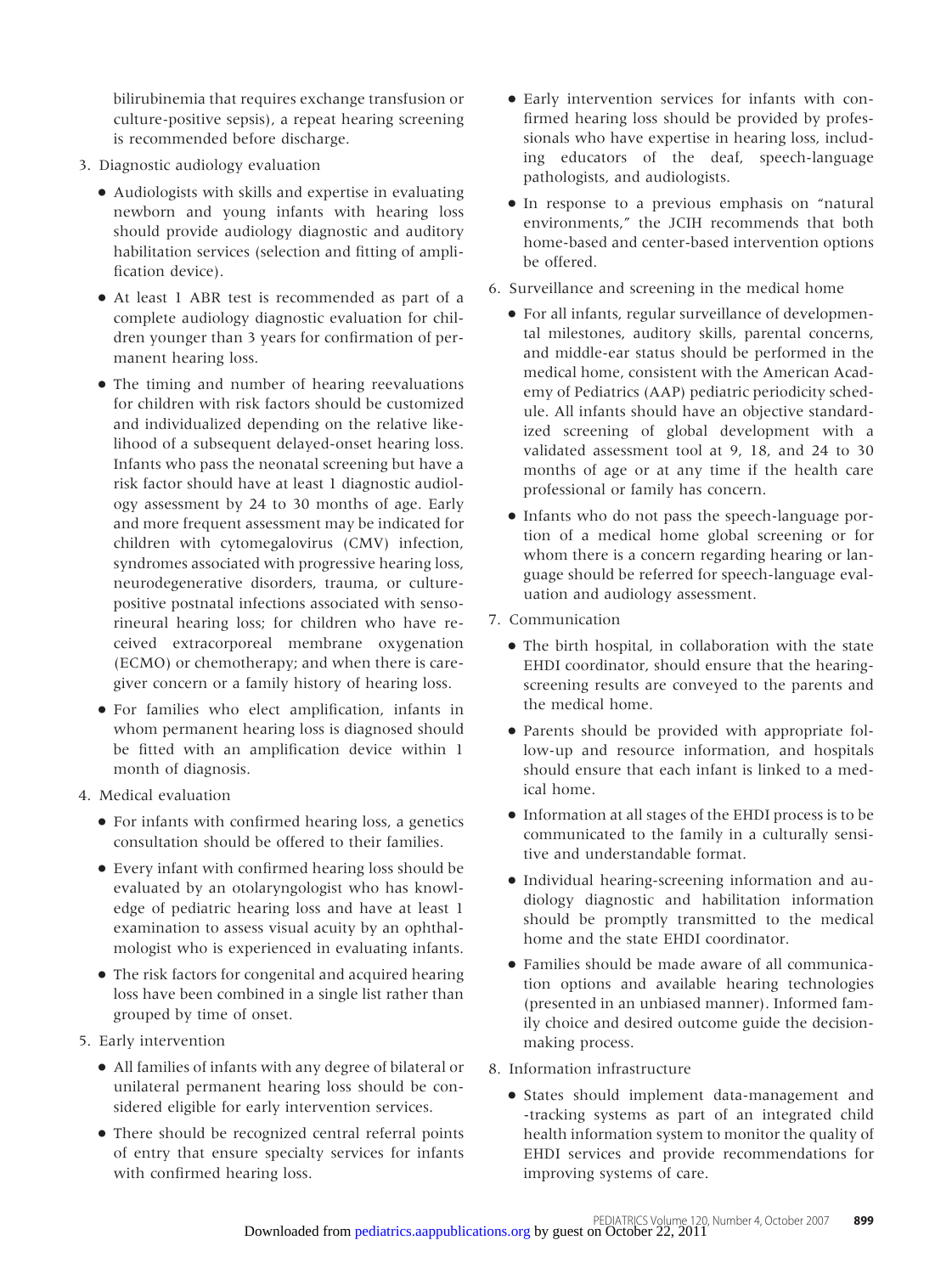bilirubinemia that requires exchange transfusion or culture-positive sepsis), a repeat hearing screening is recommended before discharge.

- 3. Diagnostic audiology evaluation
	- Audiologists with skills and expertise in evaluating newborn and young infants with hearing loss should provide audiology diagnostic and auditory habilitation services (selection and fitting of amplification device).
	- At least 1 ABR test is recommended as part of a complete audiology diagnostic evaluation for children younger than 3 years for confirmation of permanent hearing loss.
	- The timing and number of hearing reevaluations for children with risk factors should be customized and individualized depending on the relative likelihood of a subsequent delayed-onset hearing loss. Infants who pass the neonatal screening but have a risk factor should have at least 1 diagnostic audiology assessment by 24 to 30 months of age. Early and more frequent assessment may be indicated for children with cytomegalovirus (CMV) infection, syndromes associated with progressive hearing loss, neurodegenerative disorders, trauma, or culturepositive postnatal infections associated with sensorineural hearing loss; for children who have received extracorporeal membrane oxygenation (ECMO) or chemotherapy; and when there is caregiver concern or a family history of hearing loss.
	- For families who elect amplification, infants in whom permanent hearing loss is diagnosed should be fitted with an amplification device within 1 month of diagnosis.
- 4. Medical evaluation
	- For infants with confirmed hearing loss, a genetics consultation should be offered to their families.
	- Every infant with confirmed hearing loss should be evaluated by an otolaryngologist who has knowledge of pediatric hearing loss and have at least 1 examination to assess visual acuity by an ophthalmologist who is experienced in evaluating infants.
	- The risk factors for congenital and acquired hearing loss have been combined in a single list rather than grouped by time of onset.
- 5. Early intervention
	- All families of infants with any degree of bilateral or unilateral permanent hearing loss should be considered eligible for early intervention services.
	- There should be recognized central referral points of entry that ensure specialty services for infants with confirmed hearing loss.
- Early intervention services for infants with confirmed hearing loss should be provided by professionals who have expertise in hearing loss, including educators of the deaf, speech-language pathologists, and audiologists.
- In response to a previous emphasis on "natural environments," the JCIH recommends that both home-based and center-based intervention options be offered.
- 6. Surveillance and screening in the medical home
	- For all infants, regular surveillance of developmental milestones, auditory skills, parental concerns, and middle-ear status should be performed in the medical home, consistent with the American Academy of Pediatrics (AAP) pediatric periodicity schedule. All infants should have an objective standardized screening of global development with a validated assessment tool at 9, 18, and 24 to 30 months of age or at any time if the health care professional or family has concern.
	- Infants who do not pass the speech-language portion of a medical home global screening or for whom there is a concern regarding hearing or language should be referred for speech-language evaluation and audiology assessment.
- 7. Communication
	- The birth hospital, in collaboration with the state EHDI coordinator, should ensure that the hearingscreening results are conveyed to the parents and the medical home.
	- Parents should be provided with appropriate follow-up and resource information, and hospitals should ensure that each infant is linked to a medical home.
	- Information at all stages of the EHDI process is to be communicated to the family in a culturally sensitive and understandable format.
	- Individual hearing-screening information and audiology diagnostic and habilitation information should be promptly transmitted to the medical home and the state EHDI coordinator.
	- Families should be made aware of all communication options and available hearing technologies (presented in an unbiased manner). Informed family choice and desired outcome guide the decisionmaking process.
- 8. Information infrastructure
	- States should implement data-management and -tracking systems as part of an integrated child health information system to monitor the quality of EHDI services and provide recommendations for improving systems of care.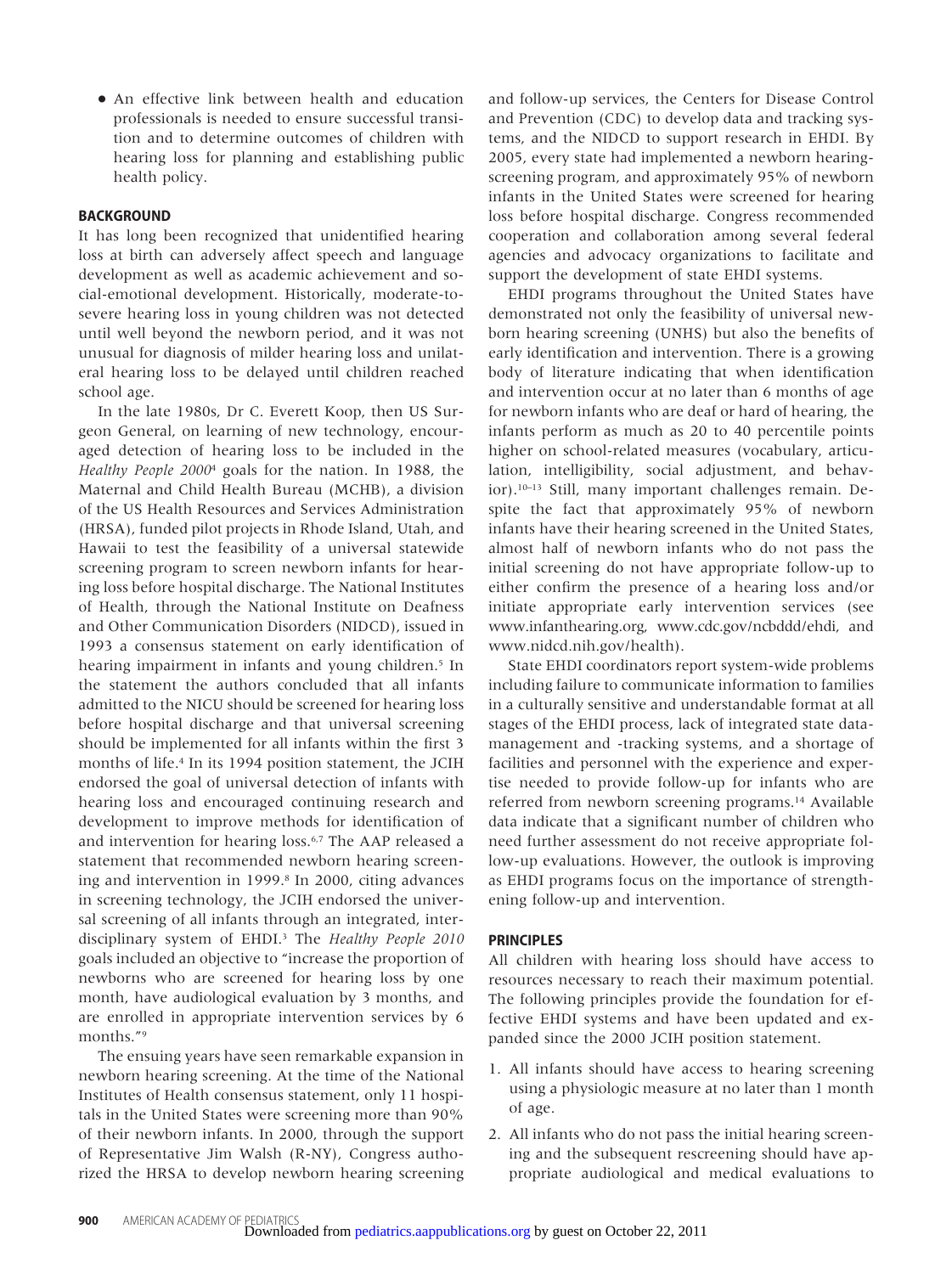● An effective link between health and education professionals is needed to ensure successful transition and to determine outcomes of children with hearing loss for planning and establishing public health policy.

#### **BACKGROUND**

It has long been recognized that unidentified hearing loss at birth can adversely affect speech and language development as well as academic achievement and social-emotional development. Historically, moderate-tosevere hearing loss in young children was not detected until well beyond the newborn period, and it was not unusual for diagnosis of milder hearing loss and unilateral hearing loss to be delayed until children reached school age.

In the late 1980s, Dr C. Everett Koop, then US Surgeon General, on learning of new technology, encouraged detection of hearing loss to be included in the *Healthy People 2000*<sup>4</sup> goals for the nation. In 1988, the Maternal and Child Health Bureau (MCHB), a division of the US Health Resources and Services Administration (HRSA), funded pilot projects in Rhode Island, Utah, and Hawaii to test the feasibility of a universal statewide screening program to screen newborn infants for hearing loss before hospital discharge. The National Institutes of Health, through the National Institute on Deafness and Other Communication Disorders (NIDCD), issued in 1993 a consensus statement on early identification of hearing impairment in infants and young children.<sup>5</sup> In the statement the authors concluded that all infants admitted to the NICU should be screened for hearing loss before hospital discharge and that universal screening should be implemented for all infants within the first 3 months of life.4 In its 1994 position statement, the JCIH endorsed the goal of universal detection of infants with hearing loss and encouraged continuing research and development to improve methods for identification of and intervention for hearing loss.6,7 The AAP released a statement that recommended newborn hearing screening and intervention in 1999.<sup>8</sup> In 2000, citing advances in screening technology, the JCIH endorsed the universal screening of all infants through an integrated, interdisciplinary system of EHDI.3 The *Healthy People 2010* goals included an objective to "increase the proportion of newborns who are screened for hearing loss by one month, have audiological evaluation by 3 months, and are enrolled in appropriate intervention services by 6 months."9

The ensuing years have seen remarkable expansion in newborn hearing screening. At the time of the National Institutes of Health consensus statement, only 11 hospitals in the United States were screening more than 90% of their newborn infants. In 2000, through the support of Representative Jim Walsh (R-NY), Congress authorized the HRSA to develop newborn hearing screening and follow-up services, the Centers for Disease Control and Prevention (CDC) to develop data and tracking systems, and the NIDCD to support research in EHDI. By 2005, every state had implemented a newborn hearingscreening program, and approximately 95% of newborn infants in the United States were screened for hearing loss before hospital discharge. Congress recommended cooperation and collaboration among several federal agencies and advocacy organizations to facilitate and support the development of state EHDI systems.

EHDI programs throughout the United States have demonstrated not only the feasibility of universal newborn hearing screening (UNHS) but also the benefits of early identification and intervention. There is a growing body of literature indicating that when identification and intervention occur at no later than 6 months of age for newborn infants who are deaf or hard of hearing, the infants perform as much as 20 to 40 percentile points higher on school-related measures (vocabulary, articulation, intelligibility, social adjustment, and behavior).10–13 Still, many important challenges remain. Despite the fact that approximately 95% of newborn infants have their hearing screened in the United States, almost half of newborn infants who do not pass the initial screening do not have appropriate follow-up to either confirm the presence of a hearing loss and/or initiate appropriate early intervention services (see www.infanthearing.org, www.cdc.gov/ncbddd/ehdi, and www.nidcd.nih.gov/health).

State EHDI coordinators report system-wide problems including failure to communicate information to families in a culturally sensitive and understandable format at all stages of the EHDI process, lack of integrated state datamanagement and -tracking systems, and a shortage of facilities and personnel with the experience and expertise needed to provide follow-up for infants who are referred from newborn screening programs.14 Available data indicate that a significant number of children who need further assessment do not receive appropriate follow-up evaluations. However, the outlook is improving as EHDI programs focus on the importance of strengthening follow-up and intervention.

#### **PRINCIPLES**

All children with hearing loss should have access to resources necessary to reach their maximum potential. The following principles provide the foundation for effective EHDI systems and have been updated and expanded since the 2000 JCIH position statement.

- 1. All infants should have access to hearing screening using a physiologic measure at no later than 1 month of age.
- 2. All infants who do not pass the initial hearing screening and the subsequent rescreening should have appropriate audiological and medical evaluations to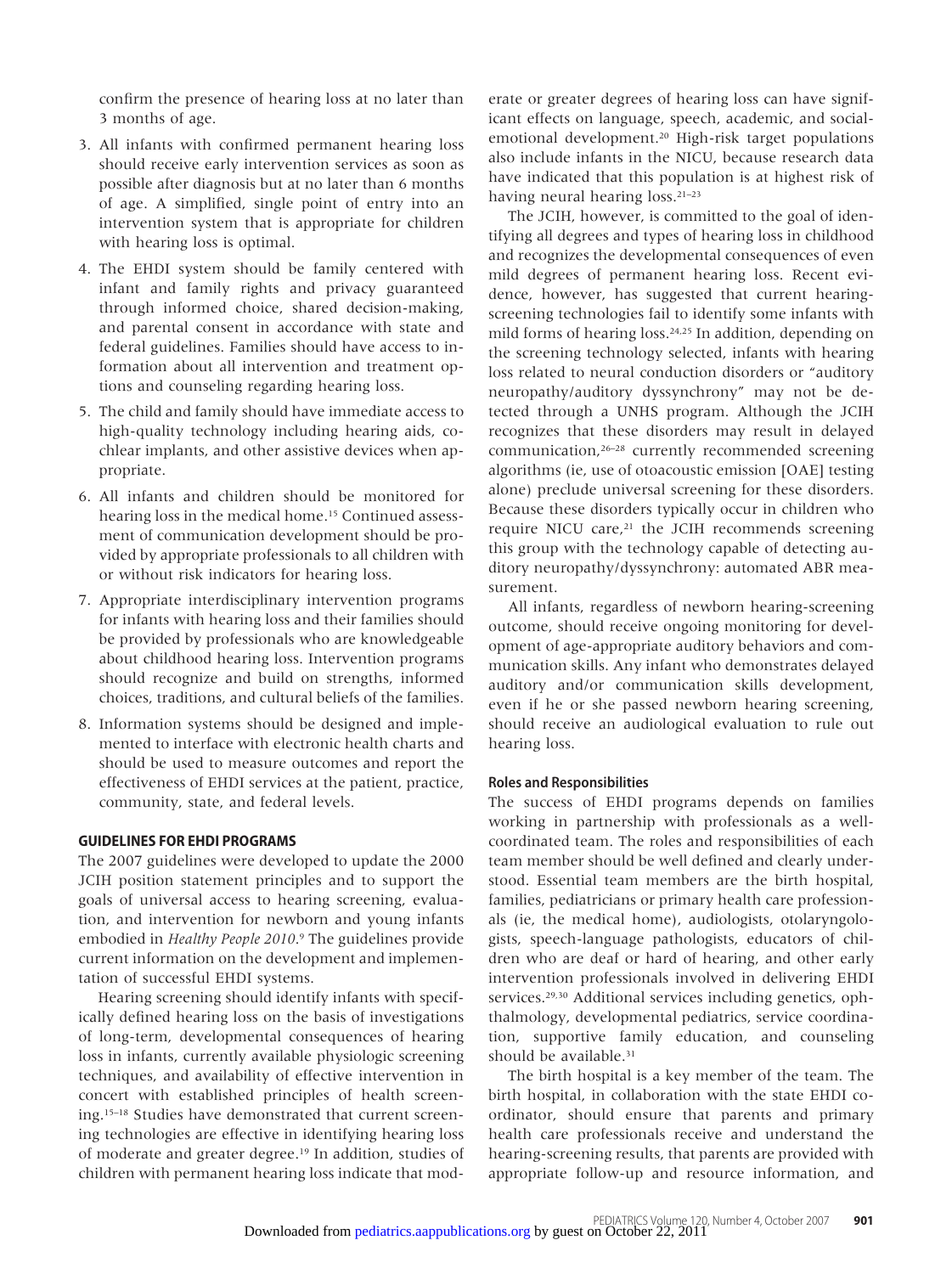confirm the presence of hearing loss at no later than 3 months of age.

- 3. All infants with confirmed permanent hearing loss should receive early intervention services as soon as possible after diagnosis but at no later than 6 months of age. A simplified, single point of entry into an intervention system that is appropriate for children with hearing loss is optimal.
- 4. The EHDI system should be family centered with infant and family rights and privacy guaranteed through informed choice, shared decision-making, and parental consent in accordance with state and federal guidelines. Families should have access to information about all intervention and treatment options and counseling regarding hearing loss.
- 5. The child and family should have immediate access to high-quality technology including hearing aids, cochlear implants, and other assistive devices when appropriate.
- 6. All infants and children should be monitored for hearing loss in the medical home.<sup>15</sup> Continued assessment of communication development should be provided by appropriate professionals to all children with or without risk indicators for hearing loss.
- 7. Appropriate interdisciplinary intervention programs for infants with hearing loss and their families should be provided by professionals who are knowledgeable about childhood hearing loss. Intervention programs should recognize and build on strengths, informed choices, traditions, and cultural beliefs of the families.
- 8. Information systems should be designed and implemented to interface with electronic health charts and should be used to measure outcomes and report the effectiveness of EHDI services at the patient, practice, community, state, and federal levels.

#### **GUIDELINES FOR EHDI PROGRAMS**

The 2007 guidelines were developed to update the 2000 JCIH position statement principles and to support the goals of universal access to hearing screening, evaluation, and intervention for newborn and young infants embodied in *Healthy People 2010*.9 The guidelines provide current information on the development and implementation of successful EHDI systems.

Hearing screening should identify infants with specifically defined hearing loss on the basis of investigations of long-term, developmental consequences of hearing loss in infants, currently available physiologic screening techniques, and availability of effective intervention in concert with established principles of health screening.15–18 Studies have demonstrated that current screening technologies are effective in identifying hearing loss of moderate and greater degree.19 In addition, studies of children with permanent hearing loss indicate that moderate or greater degrees of hearing loss can have significant effects on language, speech, academic, and socialemotional development.20 High-risk target populations also include infants in the NICU, because research data have indicated that this population is at highest risk of having neural hearing loss.21–23

The JCIH, however, is committed to the goal of identifying all degrees and types of hearing loss in childhood and recognizes the developmental consequences of even mild degrees of permanent hearing loss. Recent evidence, however, has suggested that current hearingscreening technologies fail to identify some infants with mild forms of hearing loss.24,25 In addition, depending on the screening technology selected, infants with hearing loss related to neural conduction disorders or "auditory neuropathy/auditory dyssynchrony" may not be detected through a UNHS program. Although the JCIH recognizes that these disorders may result in delayed communication,26–28 currently recommended screening algorithms (ie, use of otoacoustic emission [OAE] testing alone) preclude universal screening for these disorders. Because these disorders typically occur in children who require NICU care, $21$  the JCIH recommends screening this group with the technology capable of detecting auditory neuropathy/dyssynchrony: automated ABR measurement.

All infants, regardless of newborn hearing-screening outcome, should receive ongoing monitoring for development of age-appropriate auditory behaviors and communication skills. Any infant who demonstrates delayed auditory and/or communication skills development, even if he or she passed newborn hearing screening, should receive an audiological evaluation to rule out hearing loss.

#### **Roles and Responsibilities**

The success of EHDI programs depends on families working in partnership with professionals as a wellcoordinated team. The roles and responsibilities of each team member should be well defined and clearly understood. Essential team members are the birth hospital, families, pediatricians or primary health care professionals (ie, the medical home), audiologists, otolaryngologists, speech-language pathologists, educators of children who are deaf or hard of hearing, and other early intervention professionals involved in delivering EHDI services.<sup>29,30</sup> Additional services including genetics, ophthalmology, developmental pediatrics, service coordination, supportive family education, and counseling should be available.<sup>31</sup>

The birth hospital is a key member of the team. The birth hospital, in collaboration with the state EHDI coordinator, should ensure that parents and primary health care professionals receive and understand the hearing-screening results, that parents are provided with appropriate follow-up and resource information, and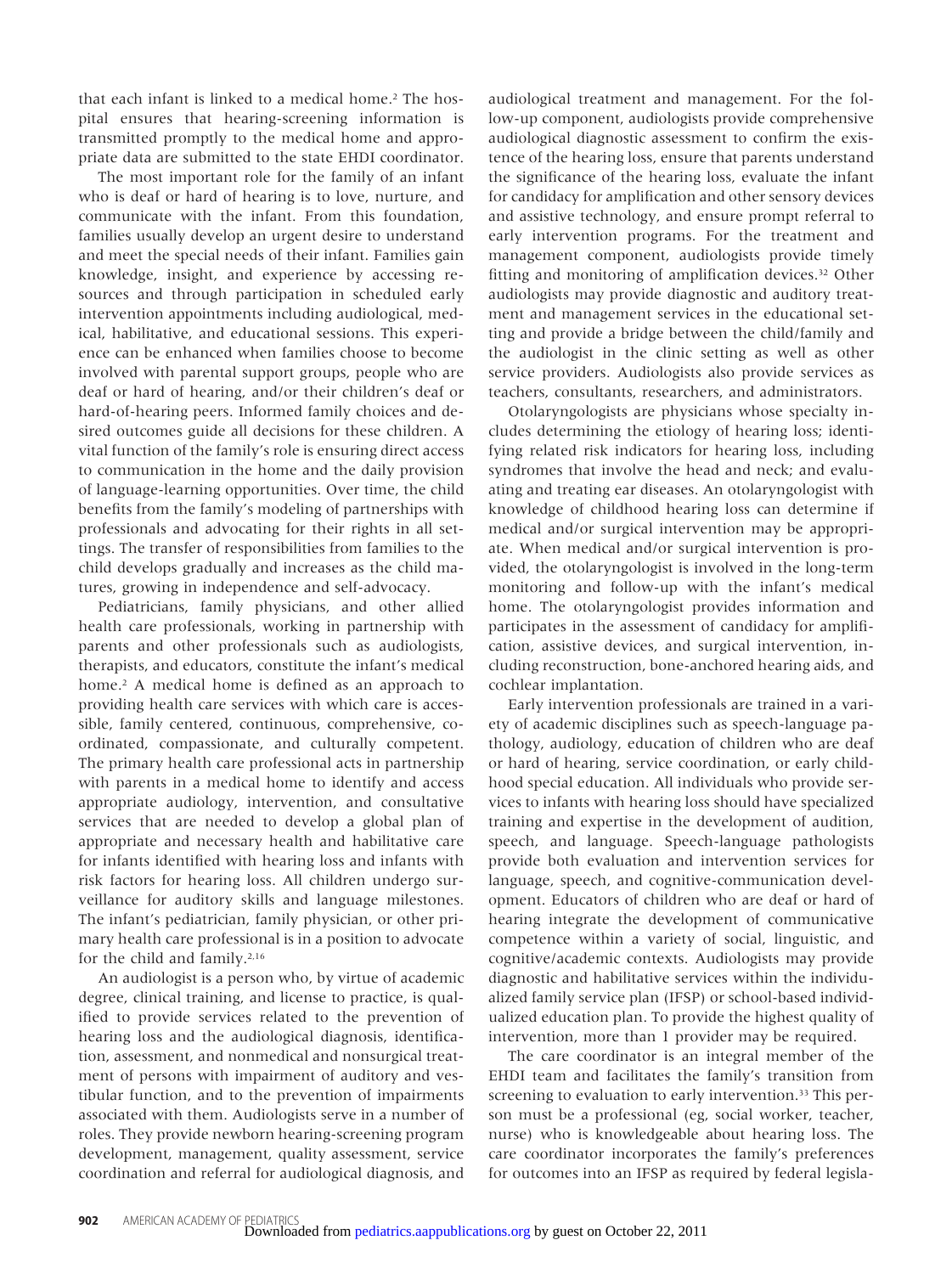that each infant is linked to a medical home.<sup>2</sup> The hospital ensures that hearing-screening information is transmitted promptly to the medical home and appropriate data are submitted to the state EHDI coordinator.

The most important role for the family of an infant who is deaf or hard of hearing is to love, nurture, and communicate with the infant. From this foundation, families usually develop an urgent desire to understand and meet the special needs of their infant. Families gain knowledge, insight, and experience by accessing resources and through participation in scheduled early intervention appointments including audiological, medical, habilitative, and educational sessions. This experience can be enhanced when families choose to become involved with parental support groups, people who are deaf or hard of hearing, and/or their children's deaf or hard-of-hearing peers. Informed family choices and desired outcomes guide all decisions for these children. A vital function of the family's role is ensuring direct access to communication in the home and the daily provision of language-learning opportunities. Over time, the child benefits from the family's modeling of partnerships with professionals and advocating for their rights in all settings. The transfer of responsibilities from families to the child develops gradually and increases as the child matures, growing in independence and self-advocacy.

Pediatricians, family physicians, and other allied health care professionals, working in partnership with parents and other professionals such as audiologists, therapists, and educators, constitute the infant's medical home.2 A medical home is defined as an approach to providing health care services with which care is accessible, family centered, continuous, comprehensive, coordinated, compassionate, and culturally competent. The primary health care professional acts in partnership with parents in a medical home to identify and access appropriate audiology, intervention, and consultative services that are needed to develop a global plan of appropriate and necessary health and habilitative care for infants identified with hearing loss and infants with risk factors for hearing loss. All children undergo surveillance for auditory skills and language milestones. The infant's pediatrician, family physician, or other primary health care professional is in a position to advocate for the child and family.2,16

An audiologist is a person who, by virtue of academic degree, clinical training, and license to practice, is qualified to provide services related to the prevention of hearing loss and the audiological diagnosis, identification, assessment, and nonmedical and nonsurgical treatment of persons with impairment of auditory and vestibular function, and to the prevention of impairments associated with them. Audiologists serve in a number of roles. They provide newborn hearing-screening program development, management, quality assessment, service coordination and referral for audiological diagnosis, and

audiological treatment and management. For the follow-up component, audiologists provide comprehensive audiological diagnostic assessment to confirm the existence of the hearing loss, ensure that parents understand the significance of the hearing loss, evaluate the infant for candidacy for amplification and other sensory devices and assistive technology, and ensure prompt referral to early intervention programs. For the treatment and management component, audiologists provide timely fitting and monitoring of amplification devices.<sup>32</sup> Other audiologists may provide diagnostic and auditory treatment and management services in the educational setting and provide a bridge between the child/family and the audiologist in the clinic setting as well as other service providers. Audiologists also provide services as teachers, consultants, researchers, and administrators.

Otolaryngologists are physicians whose specialty includes determining the etiology of hearing loss; identifying related risk indicators for hearing loss, including syndromes that involve the head and neck; and evaluating and treating ear diseases. An otolaryngologist with knowledge of childhood hearing loss can determine if medical and/or surgical intervention may be appropriate. When medical and/or surgical intervention is provided, the otolaryngologist is involved in the long-term monitoring and follow-up with the infant's medical home. The otolaryngologist provides information and participates in the assessment of candidacy for amplification, assistive devices, and surgical intervention, including reconstruction, bone-anchored hearing aids, and cochlear implantation.

Early intervention professionals are trained in a variety of academic disciplines such as speech-language pathology, audiology, education of children who are deaf or hard of hearing, service coordination, or early childhood special education. All individuals who provide services to infants with hearing loss should have specialized training and expertise in the development of audition, speech, and language. Speech-language pathologists provide both evaluation and intervention services for language, speech, and cognitive-communication development. Educators of children who are deaf or hard of hearing integrate the development of communicative competence within a variety of social, linguistic, and cognitive/academic contexts. Audiologists may provide diagnostic and habilitative services within the individualized family service plan (IFSP) or school-based individualized education plan. To provide the highest quality of intervention, more than 1 provider may be required.

The care coordinator is an integral member of the EHDI team and facilitates the family's transition from screening to evaluation to early intervention.<sup>33</sup> This person must be a professional (eg, social worker, teacher, nurse) who is knowledgeable about hearing loss. The care coordinator incorporates the family's preferences for outcomes into an IFSP as required by federal legisla-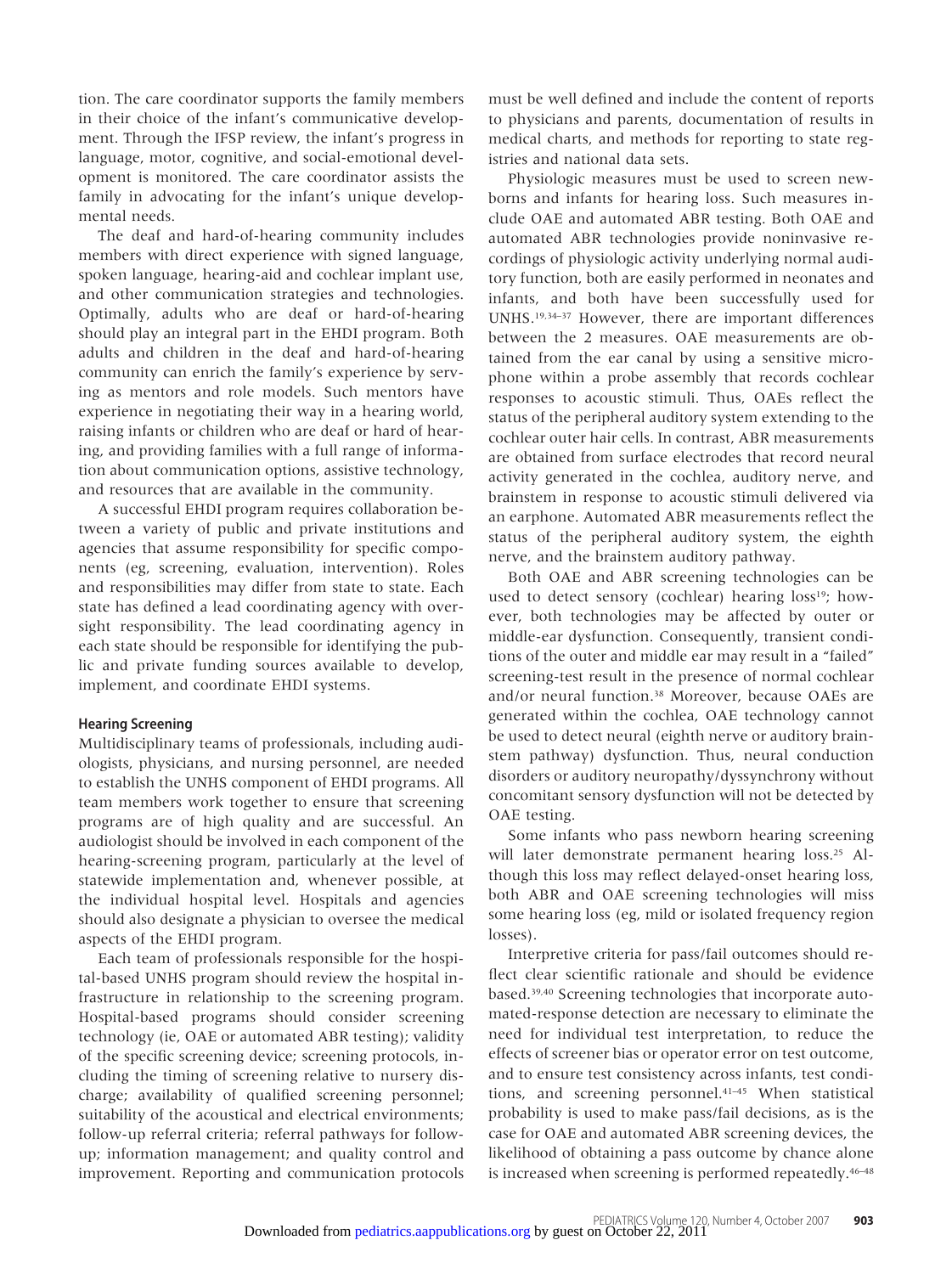tion. The care coordinator supports the family members in their choice of the infant's communicative development. Through the IFSP review, the infant's progress in language, motor, cognitive, and social-emotional development is monitored. The care coordinator assists the family in advocating for the infant's unique developmental needs.

The deaf and hard-of-hearing community includes members with direct experience with signed language, spoken language, hearing-aid and cochlear implant use, and other communication strategies and technologies. Optimally, adults who are deaf or hard-of-hearing should play an integral part in the EHDI program. Both adults and children in the deaf and hard-of-hearing community can enrich the family's experience by serving as mentors and role models. Such mentors have experience in negotiating their way in a hearing world, raising infants or children who are deaf or hard of hearing, and providing families with a full range of information about communication options, assistive technology, and resources that are available in the community.

A successful EHDI program requires collaboration between a variety of public and private institutions and agencies that assume responsibility for specific components (eg, screening, evaluation, intervention). Roles and responsibilities may differ from state to state. Each state has defined a lead coordinating agency with oversight responsibility. The lead coordinating agency in each state should be responsible for identifying the public and private funding sources available to develop, implement, and coordinate EHDI systems.

#### **Hearing Screening**

Multidisciplinary teams of professionals, including audiologists, physicians, and nursing personnel, are needed to establish the UNHS component of EHDI programs. All team members work together to ensure that screening programs are of high quality and are successful. An audiologist should be involved in each component of the hearing-screening program, particularly at the level of statewide implementation and, whenever possible, at the individual hospital level. Hospitals and agencies should also designate a physician to oversee the medical aspects of the EHDI program.

Each team of professionals responsible for the hospital-based UNHS program should review the hospital infrastructure in relationship to the screening program. Hospital-based programs should consider screening technology (ie, OAE or automated ABR testing); validity of the specific screening device; screening protocols, including the timing of screening relative to nursery discharge; availability of qualified screening personnel; suitability of the acoustical and electrical environments; follow-up referral criteria; referral pathways for followup; information management; and quality control and improvement. Reporting and communication protocols must be well defined and include the content of reports to physicians and parents, documentation of results in medical charts, and methods for reporting to state registries and national data sets.

Physiologic measures must be used to screen newborns and infants for hearing loss. Such measures include OAE and automated ABR testing. Both OAE and automated ABR technologies provide noninvasive recordings of physiologic activity underlying normal auditory function, both are easily performed in neonates and infants, and both have been successfully used for UNHS.19,34–37 However, there are important differences between the 2 measures. OAE measurements are obtained from the ear canal by using a sensitive microphone within a probe assembly that records cochlear responses to acoustic stimuli. Thus, OAEs reflect the status of the peripheral auditory system extending to the cochlear outer hair cells. In contrast, ABR measurements are obtained from surface electrodes that record neural activity generated in the cochlea, auditory nerve, and brainstem in response to acoustic stimuli delivered via an earphone. Automated ABR measurements reflect the status of the peripheral auditory system, the eighth nerve, and the brainstem auditory pathway.

Both OAE and ABR screening technologies can be used to detect sensory (cochlear) hearing loss<sup>19</sup>; however, both technologies may be affected by outer or middle-ear dysfunction. Consequently, transient conditions of the outer and middle ear may result in a "failed" screening-test result in the presence of normal cochlear and/or neural function.<sup>38</sup> Moreover, because OAEs are generated within the cochlea, OAE technology cannot be used to detect neural (eighth nerve or auditory brainstem pathway) dysfunction. Thus, neural conduction disorders or auditory neuropathy/dyssynchrony without concomitant sensory dysfunction will not be detected by OAE testing.

Some infants who pass newborn hearing screening will later demonstrate permanent hearing loss.<sup>25</sup> Although this loss may reflect delayed-onset hearing loss, both ABR and OAE screening technologies will miss some hearing loss (eg, mild or isolated frequency region losses).

Interpretive criteria for pass/fail outcomes should reflect clear scientific rationale and should be evidence based.39,40 Screening technologies that incorporate automated-response detection are necessary to eliminate the need for individual test interpretation, to reduce the effects of screener bias or operator error on test outcome, and to ensure test consistency across infants, test conditions, and screening personnel.<sup>41-45</sup> When statistical probability is used to make pass/fail decisions, as is the case for OAE and automated ABR screening devices, the likelihood of obtaining a pass outcome by chance alone is increased when screening is performed repeatedly.<sup>46-48</sup>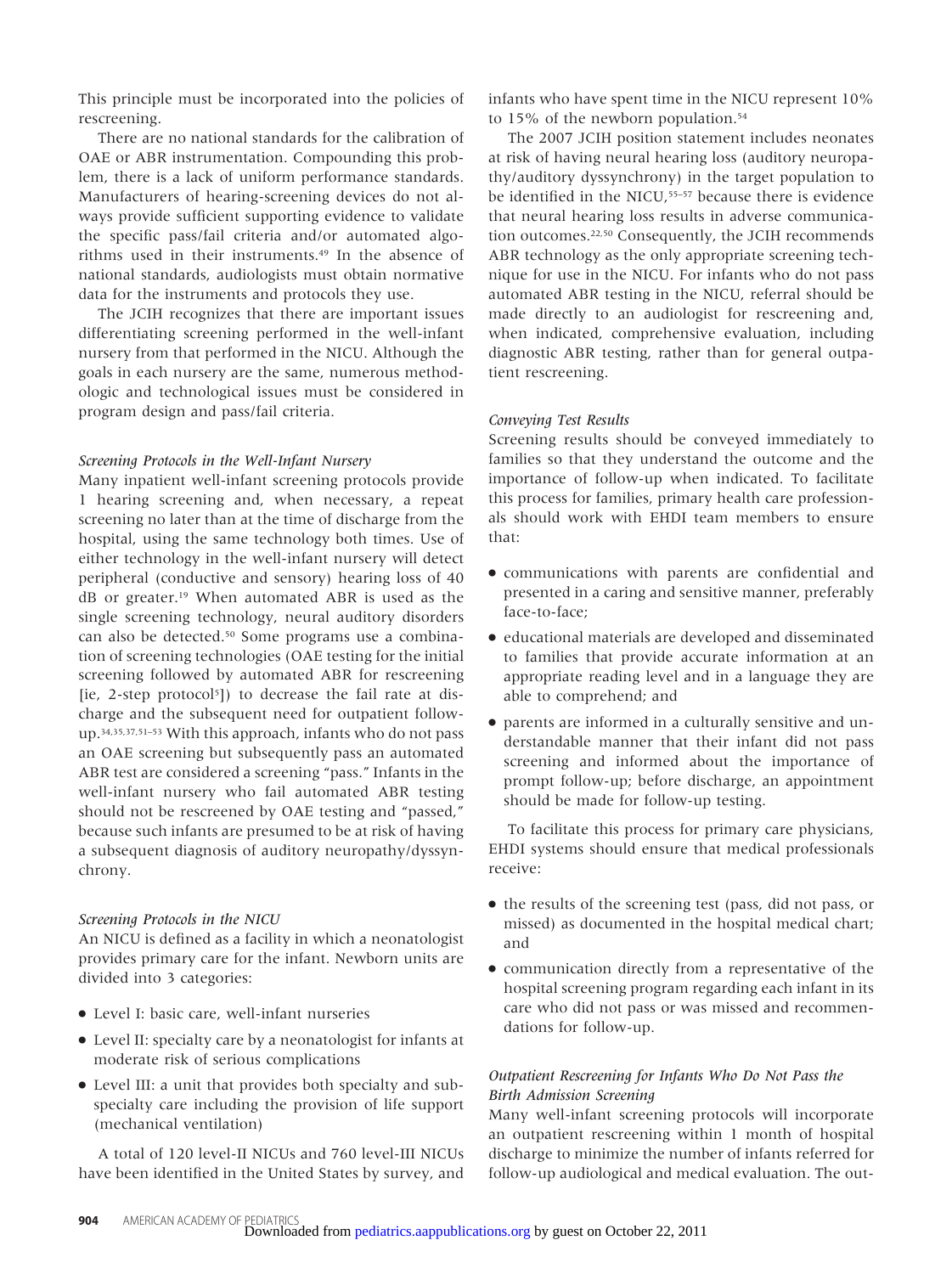This principle must be incorporated into the policies of rescreening.

There are no national standards for the calibration of OAE or ABR instrumentation. Compounding this problem, there is a lack of uniform performance standards. Manufacturers of hearing-screening devices do not always provide sufficient supporting evidence to validate the specific pass/fail criteria and/or automated algorithms used in their instruments.49 In the absence of national standards, audiologists must obtain normative data for the instruments and protocols they use.

The JCIH recognizes that there are important issues differentiating screening performed in the well-infant nursery from that performed in the NICU. Although the goals in each nursery are the same, numerous methodologic and technological issues must be considered in program design and pass/fail criteria.

#### *Screening Protocols in the Well-Infant Nursery*

Many inpatient well-infant screening protocols provide 1 hearing screening and, when necessary, a repeat screening no later than at the time of discharge from the hospital, using the same technology both times. Use of either technology in the well-infant nursery will detect peripheral (conductive and sensory) hearing loss of 40 dB or greater.19 When automated ABR is used as the single screening technology, neural auditory disorders can also be detected.50 Some programs use a combination of screening technologies (OAE testing for the initial screening followed by automated ABR for rescreening [ie, 2-step protocol<sup>5</sup>]) to decrease the fail rate at discharge and the subsequent need for outpatient followup.34,35,37,51–53 With this approach, infants who do not pass an OAE screening but subsequently pass an automated ABR test are considered a screening "pass." Infants in the well-infant nursery who fail automated ABR testing should not be rescreened by OAE testing and "passed," because such infants are presumed to be at risk of having a subsequent diagnosis of auditory neuropathy/dyssynchrony.

#### *Screening Protocols in the NICU*

An NICU is defined as a facility in which a neonatologist provides primary care for the infant. Newborn units are divided into 3 categories:

- Level I: basic care, well-infant nurseries
- Level II: specialty care by a neonatologist for infants at moderate risk of serious complications
- Level III: a unit that provides both specialty and subspecialty care including the provision of life support (mechanical ventilation)

A total of 120 level-II NICUs and 760 level-III NICUs have been identified in the United States by survey, and infants who have spent time in the NICU represent 10% to 15% of the newborn population.<sup>54</sup>

The 2007 JCIH position statement includes neonates at risk of having neural hearing loss (auditory neuropathy/auditory dyssynchrony) in the target population to be identified in the NICU,<sup>55-57</sup> because there is evidence that neural hearing loss results in adverse communication outcomes.22,50 Consequently, the JCIH recommends ABR technology as the only appropriate screening technique for use in the NICU. For infants who do not pass automated ABR testing in the NICU, referral should be made directly to an audiologist for rescreening and, when indicated, comprehensive evaluation, including diagnostic ABR testing, rather than for general outpatient rescreening.

#### *Conveying Test Results*

Screening results should be conveyed immediately to families so that they understand the outcome and the importance of follow-up when indicated. To facilitate this process for families, primary health care professionals should work with EHDI team members to ensure that:

- communications with parents are confidential and presented in a caring and sensitive manner, preferably face-to-face;
- educational materials are developed and disseminated to families that provide accurate information at an appropriate reading level and in a language they are able to comprehend; and
- parents are informed in a culturally sensitive and understandable manner that their infant did not pass screening and informed about the importance of prompt follow-up; before discharge, an appointment should be made for follow-up testing.

To facilitate this process for primary care physicians, EHDI systems should ensure that medical professionals receive:

- the results of the screening test (pass, did not pass, or missed) as documented in the hospital medical chart; and
- communication directly from a representative of the hospital screening program regarding each infant in its care who did not pass or was missed and recommendations for follow-up.

#### *Outpatient Rescreening for Infants Who Do Not Pass the Birth Admission Screening*

Many well-infant screening protocols will incorporate an outpatient rescreening within 1 month of hospital discharge to minimize the number of infants referred for follow-up audiological and medical evaluation. The out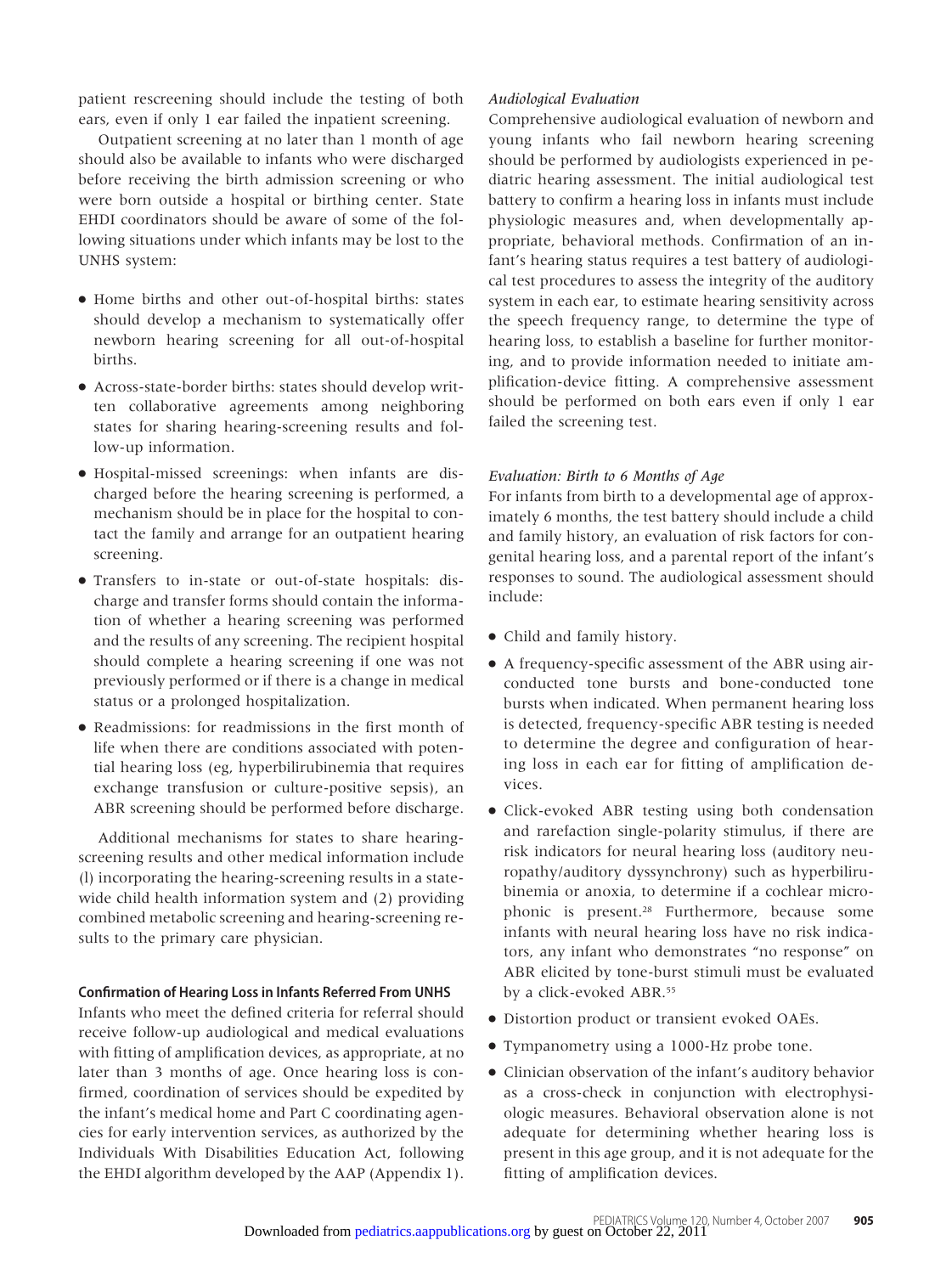patient rescreening should include the testing of both ears, even if only 1 ear failed the inpatient screening.

Outpatient screening at no later than 1 month of age should also be available to infants who were discharged before receiving the birth admission screening or who were born outside a hospital or birthing center. State EHDI coordinators should be aware of some of the following situations under which infants may be lost to the UNHS system:

- Home births and other out-of-hospital births: states should develop a mechanism to systematically offer newborn hearing screening for all out-of-hospital births.
- Across-state-border births: states should develop written collaborative agreements among neighboring states for sharing hearing-screening results and follow-up information.
- Hospital-missed screenings: when infants are discharged before the hearing screening is performed, a mechanism should be in place for the hospital to contact the family and arrange for an outpatient hearing screening.
- Transfers to in-state or out-of-state hospitals: discharge and transfer forms should contain the information of whether a hearing screening was performed and the results of any screening. The recipient hospital should complete a hearing screening if one was not previously performed or if there is a change in medical status or a prolonged hospitalization.
- Readmissions: for readmissions in the first month of life when there are conditions associated with potential hearing loss (eg, hyperbilirubinemia that requires exchange transfusion or culture-positive sepsis), an ABR screening should be performed before discharge.

Additional mechanisms for states to share hearingscreening results and other medical information include (l) incorporating the hearing-screening results in a statewide child health information system and (2) providing combined metabolic screening and hearing-screening results to the primary care physician.

#### **Confirmation of Hearing Loss in Infants Referred From UNHS**

Infants who meet the defined criteria for referral should receive follow-up audiological and medical evaluations with fitting of amplification devices, as appropriate, at no later than 3 months of age. Once hearing loss is confirmed, coordination of services should be expedited by the infant's medical home and Part C coordinating agencies for early intervention services, as authorized by the Individuals With Disabilities Education Act, following the EHDI algorithm developed by the AAP (Appendix 1).

#### *Audiological Evaluation*

Comprehensive audiological evaluation of newborn and young infants who fail newborn hearing screening should be performed by audiologists experienced in pediatric hearing assessment. The initial audiological test battery to confirm a hearing loss in infants must include physiologic measures and, when developmentally appropriate, behavioral methods. Confirmation of an infant's hearing status requires a test battery of audiological test procedures to assess the integrity of the auditory system in each ear, to estimate hearing sensitivity across the speech frequency range, to determine the type of hearing loss, to establish a baseline for further monitoring, and to provide information needed to initiate amplification-device fitting. A comprehensive assessment should be performed on both ears even if only 1 ear failed the screening test.

#### *Evaluation: Birth to 6 Months of Age*

For infants from birth to a developmental age of approximately 6 months, the test battery should include a child and family history, an evaluation of risk factors for congenital hearing loss, and a parental report of the infant's responses to sound. The audiological assessment should include:

- Child and family history.
- A frequency-specific assessment of the ABR using airconducted tone bursts and bone-conducted tone bursts when indicated. When permanent hearing loss is detected, frequency-specific ABR testing is needed to determine the degree and configuration of hearing loss in each ear for fitting of amplification devices.
- Click-evoked ABR testing using both condensation and rarefaction single-polarity stimulus, if there are risk indicators for neural hearing loss (auditory neuropathy/auditory dyssynchrony) such as hyperbilirubinemia or anoxia, to determine if a cochlear microphonic is present.28 Furthermore, because some infants with neural hearing loss have no risk indicators, any infant who demonstrates "no response" on ABR elicited by tone-burst stimuli must be evaluated by a click-evoked ABR.<sup>55</sup>
- Distortion product or transient evoked OAEs.
- Tympanometry using a 1000-Hz probe tone.
- Clinician observation of the infant's auditory behavior as a cross-check in conjunction with electrophysiologic measures. Behavioral observation alone is not adequate for determining whether hearing loss is present in this age group, and it is not adequate for the fitting of amplification devices.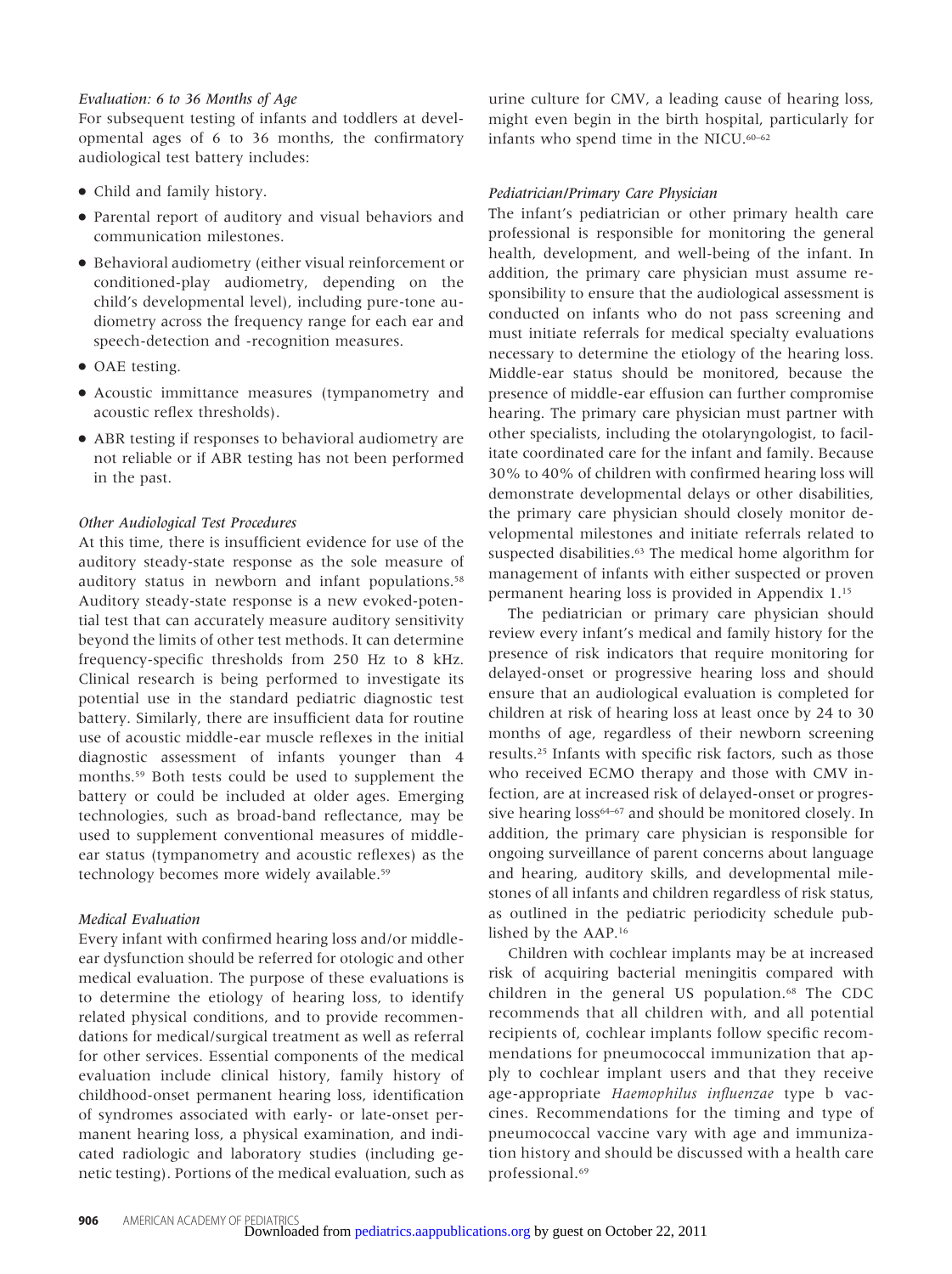#### *Evaluation: 6 to 36 Months of Age*

For subsequent testing of infants and toddlers at developmental ages of 6 to 36 months, the confirmatory audiological test battery includes:

- Child and family history.
- Parental report of auditory and visual behaviors and communication milestones.
- Behavioral audiometry (either visual reinforcement or conditioned-play audiometry, depending on the child's developmental level), including pure-tone audiometry across the frequency range for each ear and speech-detection and -recognition measures.
- OAE testing.
- Acoustic immittance measures (tympanometry and acoustic reflex thresholds).
- ABR testing if responses to behavioral audiometry are not reliable or if ABR testing has not been performed in the past.

#### *Other Audiological Test Procedures*

At this time, there is insufficient evidence for use of the auditory steady-state response as the sole measure of auditory status in newborn and infant populations.<sup>58</sup> Auditory steady-state response is a new evoked-potential test that can accurately measure auditory sensitivity beyond the limits of other test methods. It can determine frequency-specific thresholds from 250 Hz to 8 kHz. Clinical research is being performed to investigate its potential use in the standard pediatric diagnostic test battery. Similarly, there are insufficient data for routine use of acoustic middle-ear muscle reflexes in the initial diagnostic assessment of infants younger than 4 months.59 Both tests could be used to supplement the battery or could be included at older ages. Emerging technologies, such as broad-band reflectance, may be used to supplement conventional measures of middleear status (tympanometry and acoustic reflexes) as the technology becomes more widely available.<sup>59</sup>

#### *Medical Evaluation*

Every infant with confirmed hearing loss and/or middleear dysfunction should be referred for otologic and other medical evaluation. The purpose of these evaluations is to determine the etiology of hearing loss, to identify related physical conditions, and to provide recommendations for medical/surgical treatment as well as referral for other services. Essential components of the medical evaluation include clinical history, family history of childhood-onset permanent hearing loss, identification of syndromes associated with early- or late-onset permanent hearing loss, a physical examination, and indicated radiologic and laboratory studies (including genetic testing). Portions of the medical evaluation, such as urine culture for CMV, a leading cause of hearing loss, might even begin in the birth hospital, particularly for infants who spend time in the NICU.<sup>60-62</sup>

#### *Pediatrician/Primary Care Physician*

The infant's pediatrician or other primary health care professional is responsible for monitoring the general health, development, and well-being of the infant. In addition, the primary care physician must assume responsibility to ensure that the audiological assessment is conducted on infants who do not pass screening and must initiate referrals for medical specialty evaluations necessary to determine the etiology of the hearing loss. Middle-ear status should be monitored, because the presence of middle-ear effusion can further compromise hearing. The primary care physician must partner with other specialists, including the otolaryngologist, to facilitate coordinated care for the infant and family. Because 30% to 40% of children with confirmed hearing loss will demonstrate developmental delays or other disabilities, the primary care physician should closely monitor developmental milestones and initiate referrals related to suspected disabilities.<sup>63</sup> The medical home algorithm for management of infants with either suspected or proven permanent hearing loss is provided in Appendix 1.15

The pediatrician or primary care physician should review every infant's medical and family history for the presence of risk indicators that require monitoring for delayed-onset or progressive hearing loss and should ensure that an audiological evaluation is completed for children at risk of hearing loss at least once by 24 to 30 months of age, regardless of their newborn screening results.25 Infants with specific risk factors, such as those who received ECMO therapy and those with CMV infection, are at increased risk of delayed-onset or progressive hearing loss<sup>64-67</sup> and should be monitored closely. In addition, the primary care physician is responsible for ongoing surveillance of parent concerns about language and hearing, auditory skills, and developmental milestones of all infants and children regardless of risk status, as outlined in the pediatric periodicity schedule published by the AAP.16

Children with cochlear implants may be at increased risk of acquiring bacterial meningitis compared with children in the general US population.<sup>68</sup> The CDC recommends that all children with, and all potential recipients of, cochlear implants follow specific recommendations for pneumococcal immunization that apply to cochlear implant users and that they receive age-appropriate *Haemophilus influenzae* type b vaccines. Recommendations for the timing and type of pneumococcal vaccine vary with age and immunization history and should be discussed with a health care professional.69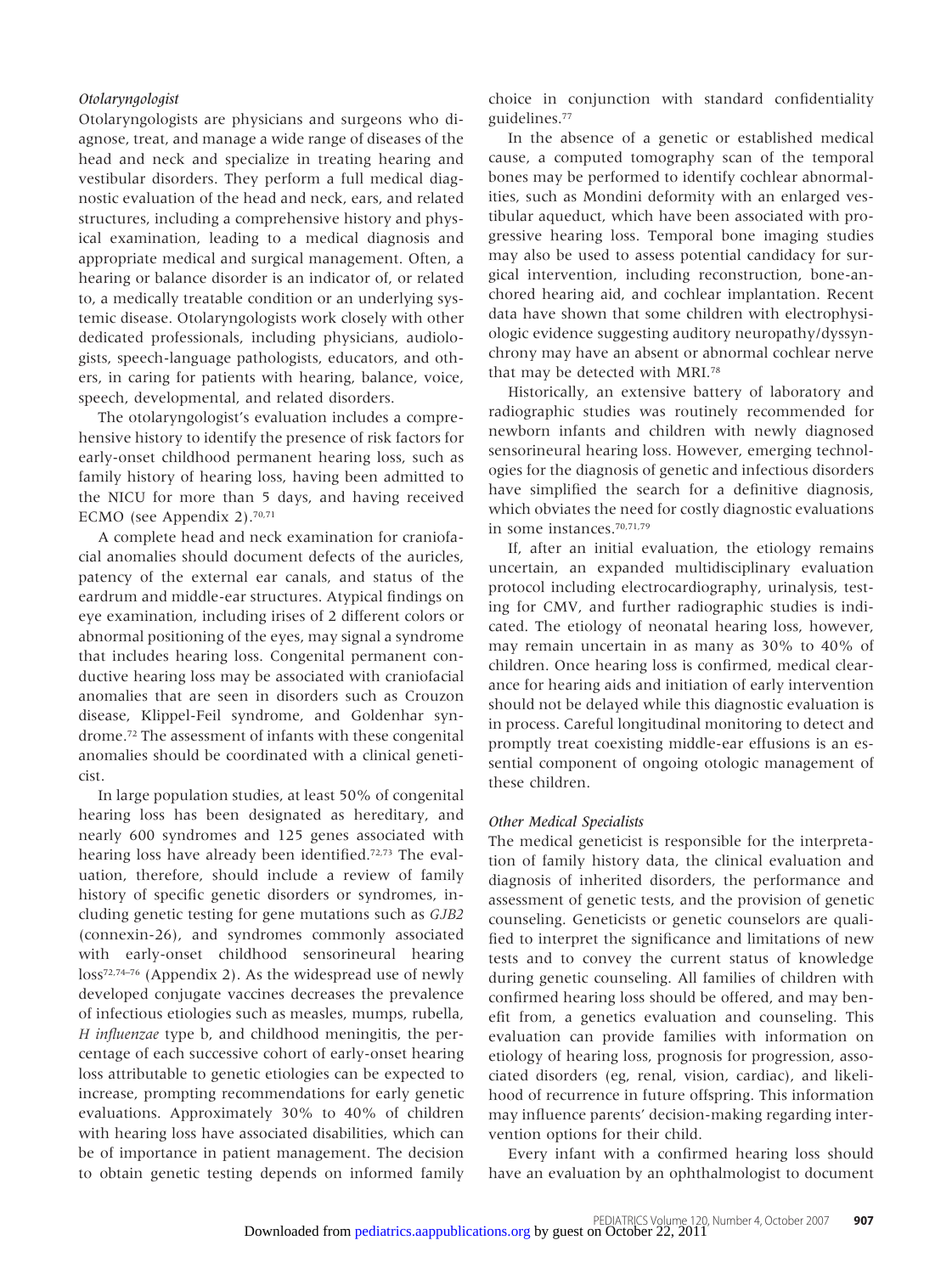#### *Otolaryngologist*

Otolaryngologists are physicians and surgeons who diagnose, treat, and manage a wide range of diseases of the head and neck and specialize in treating hearing and vestibular disorders. They perform a full medical diagnostic evaluation of the head and neck, ears, and related structures, including a comprehensive history and physical examination, leading to a medical diagnosis and appropriate medical and surgical management. Often, a hearing or balance disorder is an indicator of, or related to, a medically treatable condition or an underlying systemic disease. Otolaryngologists work closely with other dedicated professionals, including physicians, audiologists, speech-language pathologists, educators, and others, in caring for patients with hearing, balance, voice, speech, developmental, and related disorders.

The otolaryngologist's evaluation includes a comprehensive history to identify the presence of risk factors for early-onset childhood permanent hearing loss, such as family history of hearing loss, having been admitted to the NICU for more than 5 days, and having received ECMO (see Appendix 2).<sup>70,71</sup>

A complete head and neck examination for craniofacial anomalies should document defects of the auricles, patency of the external ear canals, and status of the eardrum and middle-ear structures. Atypical findings on eye examination, including irises of 2 different colors or abnormal positioning of the eyes, may signal a syndrome that includes hearing loss. Congenital permanent conductive hearing loss may be associated with craniofacial anomalies that are seen in disorders such as Crouzon disease, Klippel-Feil syndrome, and Goldenhar syndrome.72 The assessment of infants with these congenital anomalies should be coordinated with a clinical geneticist.

In large population studies, at least 50% of congenital hearing loss has been designated as hereditary, and nearly 600 syndromes and 125 genes associated with hearing loss have already been identified.<sup>72,73</sup> The evaluation, therefore, should include a review of family history of specific genetic disorders or syndromes, including genetic testing for gene mutations such as *GJB2* (connexin-26), and syndromes commonly associated with early-onset childhood sensorineural hearing loss72,74–76 (Appendix 2). As the widespread use of newly developed conjugate vaccines decreases the prevalence of infectious etiologies such as measles, mumps, rubella, *H influenzae* type b, and childhood meningitis, the percentage of each successive cohort of early-onset hearing loss attributable to genetic etiologies can be expected to increase, prompting recommendations for early genetic evaluations. Approximately 30% to 40% of children with hearing loss have associated disabilities, which can be of importance in patient management. The decision to obtain genetic testing depends on informed family choice in conjunction with standard confidentiality guidelines.77

In the absence of a genetic or established medical cause, a computed tomography scan of the temporal bones may be performed to identify cochlear abnormalities, such as Mondini deformity with an enlarged vestibular aqueduct, which have been associated with progressive hearing loss. Temporal bone imaging studies may also be used to assess potential candidacy for surgical intervention, including reconstruction, bone-anchored hearing aid, and cochlear implantation. Recent data have shown that some children with electrophysiologic evidence suggesting auditory neuropathy/dyssynchrony may have an absent or abnormal cochlear nerve that may be detected with MRI.78

Historically, an extensive battery of laboratory and radiographic studies was routinely recommended for newborn infants and children with newly diagnosed sensorineural hearing loss. However, emerging technologies for the diagnosis of genetic and infectious disorders have simplified the search for a definitive diagnosis, which obviates the need for costly diagnostic evaluations in some instances.70,71,79

If, after an initial evaluation, the etiology remains uncertain, an expanded multidisciplinary evaluation protocol including electrocardiography, urinalysis, testing for CMV, and further radiographic studies is indicated. The etiology of neonatal hearing loss, however, may remain uncertain in as many as 30% to 40% of children. Once hearing loss is confirmed, medical clearance for hearing aids and initiation of early intervention should not be delayed while this diagnostic evaluation is in process. Careful longitudinal monitoring to detect and promptly treat coexisting middle-ear effusions is an essential component of ongoing otologic management of these children.

#### *Other Medical Specialists*

The medical geneticist is responsible for the interpretation of family history data, the clinical evaluation and diagnosis of inherited disorders, the performance and assessment of genetic tests, and the provision of genetic counseling. Geneticists or genetic counselors are qualified to interpret the significance and limitations of new tests and to convey the current status of knowledge during genetic counseling. All families of children with confirmed hearing loss should be offered, and may benefit from, a genetics evaluation and counseling. This evaluation can provide families with information on etiology of hearing loss, prognosis for progression, associated disorders (eg, renal, vision, cardiac), and likelihood of recurrence in future offspring. This information may influence parents' decision-making regarding intervention options for their child.

Every infant with a confirmed hearing loss should have an evaluation by an ophthalmologist to document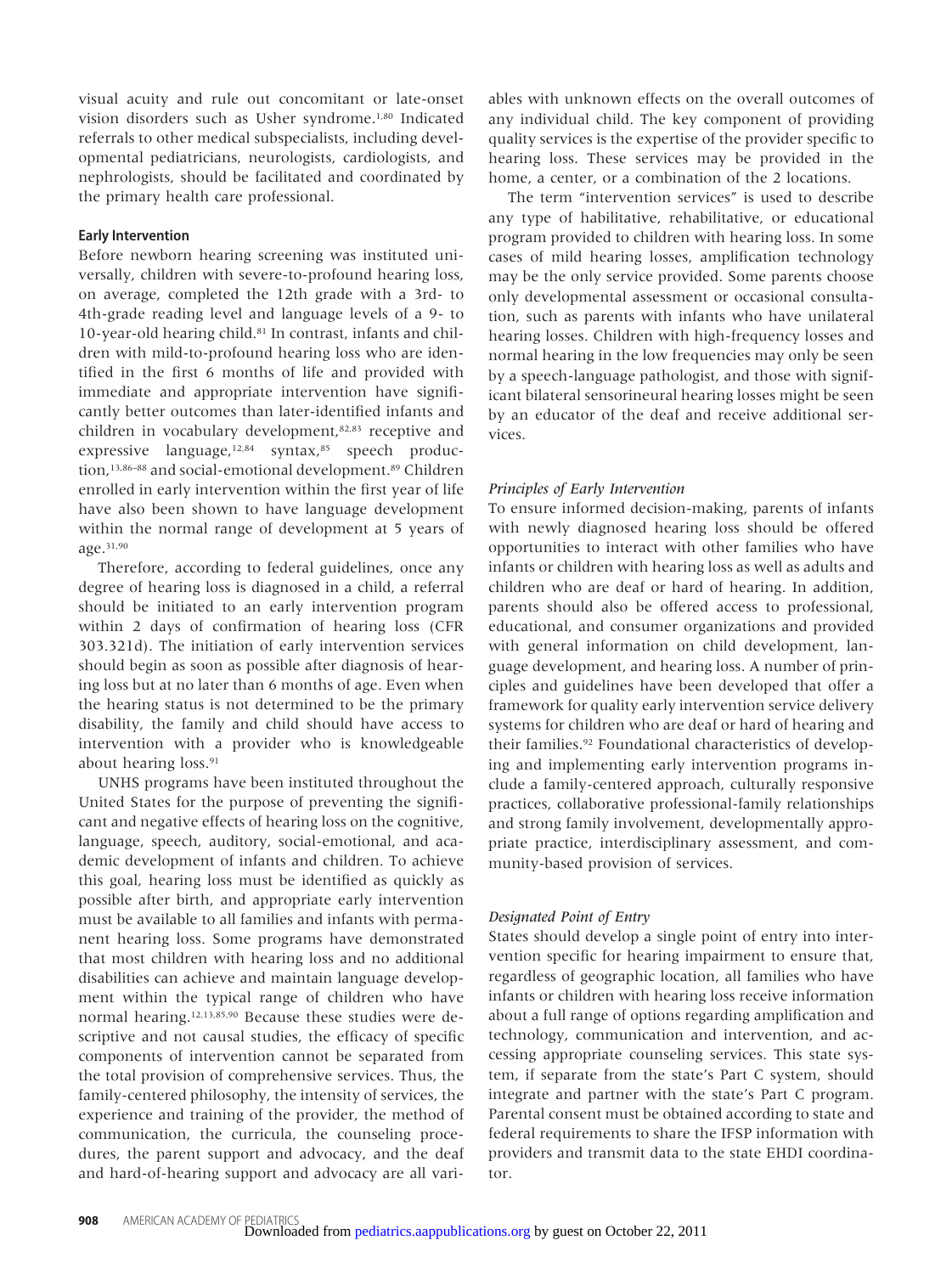visual acuity and rule out concomitant or late-onset vision disorders such as Usher syndrome.1,80 Indicated referrals to other medical subspecialists, including developmental pediatricians, neurologists, cardiologists, and nephrologists, should be facilitated and coordinated by the primary health care professional.

#### **Early Intervention**

Before newborn hearing screening was instituted universally, children with severe-to-profound hearing loss, on average, completed the 12th grade with a 3rd- to 4th-grade reading level and language levels of a 9- to 10-year-old hearing child.81 In contrast, infants and children with mild-to-profound hearing loss who are identified in the first 6 months of life and provided with immediate and appropriate intervention have significantly better outcomes than later-identified infants and children in vocabulary development,<sup>82,83</sup> receptive and expressive language,<sup>12,84</sup> syntax,<sup>85</sup> speech production,<sup>13,86-88</sup> and social-emotional development.<sup>89</sup> Children enrolled in early intervention within the first year of life have also been shown to have language development within the normal range of development at 5 years of age.31,90

Therefore, according to federal guidelines, once any degree of hearing loss is diagnosed in a child, a referral should be initiated to an early intervention program within 2 days of confirmation of hearing loss (CFR 303.321d). The initiation of early intervention services should begin as soon as possible after diagnosis of hearing loss but at no later than 6 months of age. Even when the hearing status is not determined to be the primary disability, the family and child should have access to intervention with a provider who is knowledgeable about hearing loss.91

UNHS programs have been instituted throughout the United States for the purpose of preventing the significant and negative effects of hearing loss on the cognitive, language, speech, auditory, social-emotional, and academic development of infants and children. To achieve this goal, hearing loss must be identified as quickly as possible after birth, and appropriate early intervention must be available to all families and infants with permanent hearing loss. Some programs have demonstrated that most children with hearing loss and no additional disabilities can achieve and maintain language development within the typical range of children who have normal hearing.12,13,85,90 Because these studies were descriptive and not causal studies, the efficacy of specific components of intervention cannot be separated from the total provision of comprehensive services. Thus, the family-centered philosophy, the intensity of services, the experience and training of the provider, the method of communication, the curricula, the counseling procedures, the parent support and advocacy, and the deaf and hard-of-hearing support and advocacy are all variables with unknown effects on the overall outcomes of any individual child. The key component of providing quality services is the expertise of the provider specific to hearing loss. These services may be provided in the home, a center, or a combination of the 2 locations.

The term "intervention services" is used to describe any type of habilitative, rehabilitative, or educational program provided to children with hearing loss. In some cases of mild hearing losses, amplification technology may be the only service provided. Some parents choose only developmental assessment or occasional consultation, such as parents with infants who have unilateral hearing losses. Children with high-frequency losses and normal hearing in the low frequencies may only be seen by a speech-language pathologist, and those with significant bilateral sensorineural hearing losses might be seen by an educator of the deaf and receive additional services.

#### *Principles of Early Intervention*

To ensure informed decision-making, parents of infants with newly diagnosed hearing loss should be offered opportunities to interact with other families who have infants or children with hearing loss as well as adults and children who are deaf or hard of hearing. In addition, parents should also be offered access to professional, educational, and consumer organizations and provided with general information on child development, language development, and hearing loss. A number of principles and guidelines have been developed that offer a framework for quality early intervention service delivery systems for children who are deaf or hard of hearing and their families.<sup>92</sup> Foundational characteristics of developing and implementing early intervention programs include a family-centered approach, culturally responsive practices, collaborative professional-family relationships and strong family involvement, developmentally appropriate practice, interdisciplinary assessment, and community-based provision of services.

#### *Designated Point of Entry*

States should develop a single point of entry into intervention specific for hearing impairment to ensure that, regardless of geographic location, all families who have infants or children with hearing loss receive information about a full range of options regarding amplification and technology, communication and intervention, and accessing appropriate counseling services. This state system, if separate from the state's Part C system, should integrate and partner with the state's Part C program. Parental consent must be obtained according to state and federal requirements to share the IFSP information with providers and transmit data to the state EHDI coordinator.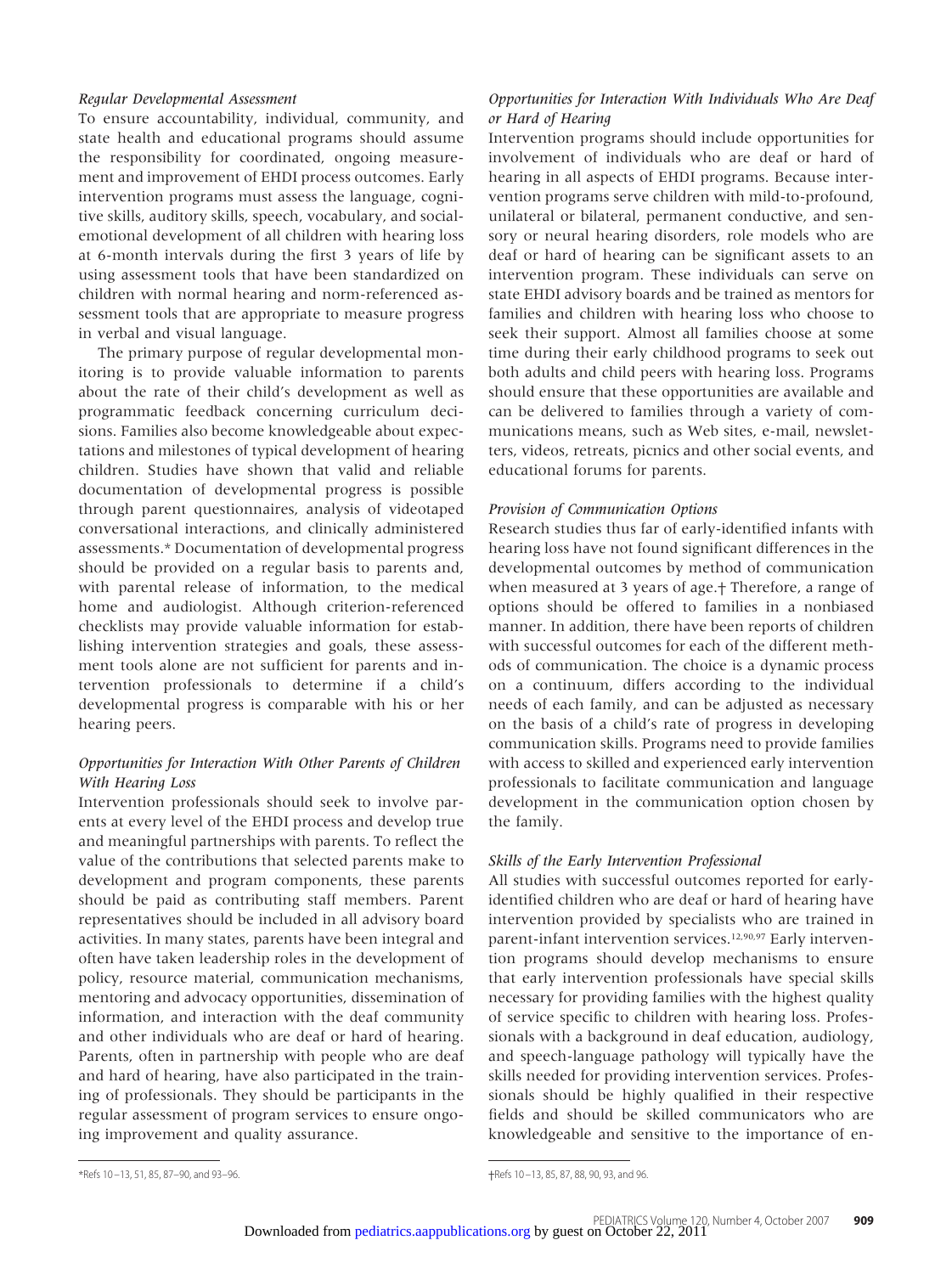#### *Regular Developmental Assessment*

To ensure accountability, individual, community, and state health and educational programs should assume the responsibility for coordinated, ongoing measurement and improvement of EHDI process outcomes. Early intervention programs must assess the language, cognitive skills, auditory skills, speech, vocabulary, and socialemotional development of all children with hearing loss at 6-month intervals during the first 3 years of life by using assessment tools that have been standardized on children with normal hearing and norm-referenced assessment tools that are appropriate to measure progress in verbal and visual language.

The primary purpose of regular developmental monitoring is to provide valuable information to parents about the rate of their child's development as well as programmatic feedback concerning curriculum decisions. Families also become knowledgeable about expectations and milestones of typical development of hearing children. Studies have shown that valid and reliable documentation of developmental progress is possible through parent questionnaires, analysis of videotaped conversational interactions, and clinically administered assessments.\* Documentation of developmental progress should be provided on a regular basis to parents and, with parental release of information, to the medical home and audiologist. Although criterion-referenced checklists may provide valuable information for establishing intervention strategies and goals, these assessment tools alone are not sufficient for parents and intervention professionals to determine if a child's developmental progress is comparable with his or her hearing peers.

#### *Opportunities for Interaction With Other Parents of Children With Hearing Loss*

Intervention professionals should seek to involve parents at every level of the EHDI process and develop true and meaningful partnerships with parents. To reflect the value of the contributions that selected parents make to development and program components, these parents should be paid as contributing staff members. Parent representatives should be included in all advisory board activities. In many states, parents have been integral and often have taken leadership roles in the development of policy, resource material, communication mechanisms, mentoring and advocacy opportunities, dissemination of information, and interaction with the deaf community and other individuals who are deaf or hard of hearing. Parents, often in partnership with people who are deaf and hard of hearing, have also participated in the training of professionals. They should be participants in the regular assessment of program services to ensure ongoing improvement and quality assurance.

#### *Opportunities for Interaction With Individuals Who Are Deaf or Hard of Hearing*

Intervention programs should include opportunities for involvement of individuals who are deaf or hard of hearing in all aspects of EHDI programs. Because intervention programs serve children with mild-to-profound, unilateral or bilateral, permanent conductive, and sensory or neural hearing disorders, role models who are deaf or hard of hearing can be significant assets to an intervention program. These individuals can serve on state EHDI advisory boards and be trained as mentors for families and children with hearing loss who choose to seek their support. Almost all families choose at some time during their early childhood programs to seek out both adults and child peers with hearing loss. Programs should ensure that these opportunities are available and can be delivered to families through a variety of communications means, such as Web sites, e-mail, newsletters, videos, retreats, picnics and other social events, and educational forums for parents.

#### *Provision of Communication Options*

Research studies thus far of early-identified infants with hearing loss have not found significant differences in the developmental outcomes by method of communication when measured at 3 years of age.† Therefore, a range of options should be offered to families in a nonbiased manner. In addition, there have been reports of children with successful outcomes for each of the different methods of communication. The choice is a dynamic process on a continuum, differs according to the individual needs of each family, and can be adjusted as necessary on the basis of a child's rate of progress in developing communication skills. Programs need to provide families with access to skilled and experienced early intervention professionals to facilitate communication and language development in the communication option chosen by the family.

#### *Skills of the Early Intervention Professional*

All studies with successful outcomes reported for earlyidentified children who are deaf or hard of hearing have intervention provided by specialists who are trained in parent-infant intervention services.<sup>12,90,97</sup> Early intervention programs should develop mechanisms to ensure that early intervention professionals have special skills necessary for providing families with the highest quality of service specific to children with hearing loss. Professionals with a background in deaf education, audiology, and speech-language pathology will typically have the skills needed for providing intervention services. Professionals should be highly qualified in their respective fields and should be skilled communicators who are knowledgeable and sensitive to the importance of en-

<sup>\*</sup>Refs 10 –13, 51, 85, 87–90, and 93–96. †Refs 10 –13, 85, 87, 88, 90, 93, and 96.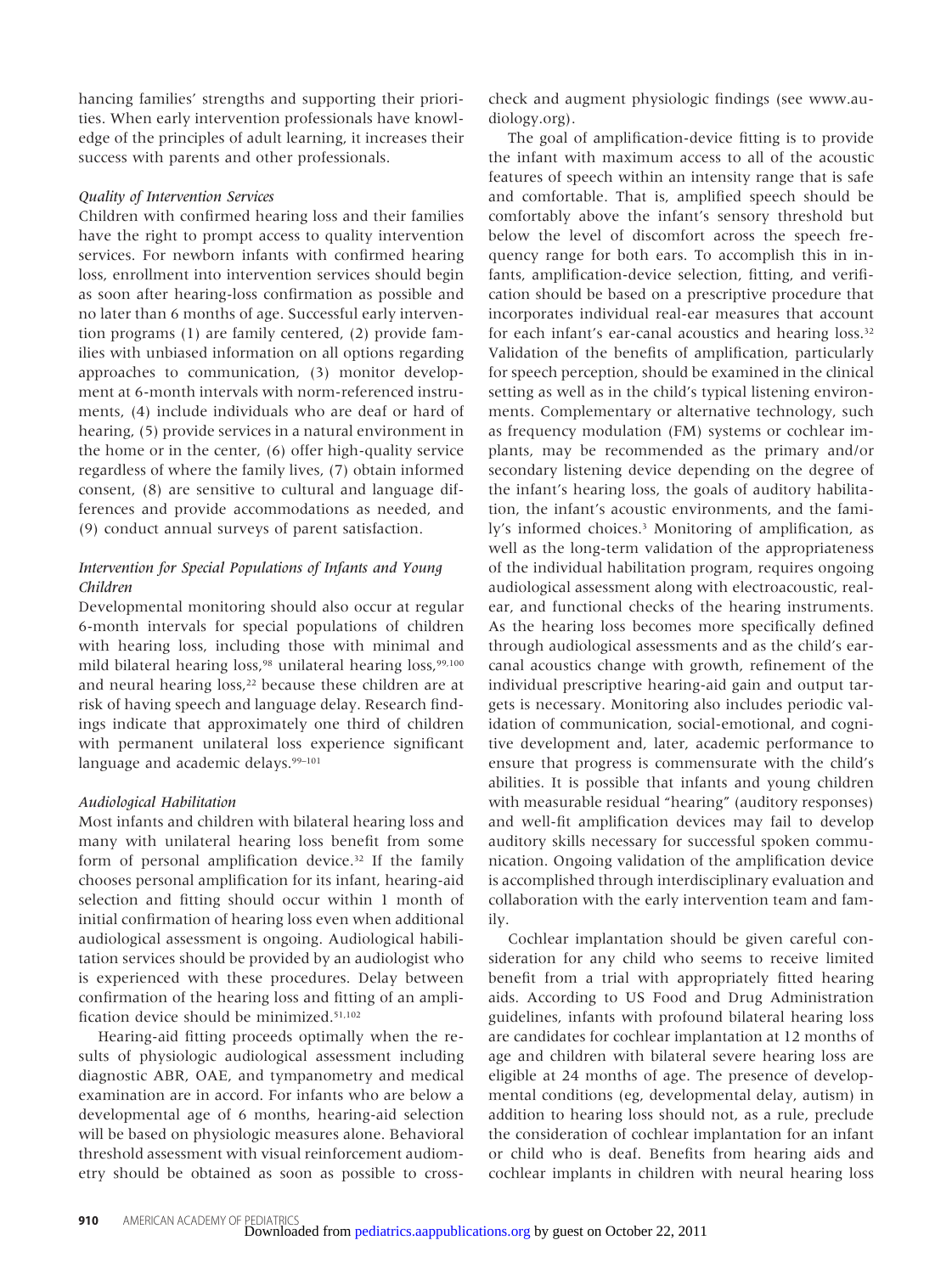hancing families' strengths and supporting their priorities. When early intervention professionals have knowledge of the principles of adult learning, it increases their success with parents and other professionals.

#### *Quality of Intervention Services*

Children with confirmed hearing loss and their families have the right to prompt access to quality intervention services. For newborn infants with confirmed hearing loss, enrollment into intervention services should begin as soon after hearing-loss confirmation as possible and no later than 6 months of age. Successful early intervention programs (1) are family centered, (2) provide families with unbiased information on all options regarding approaches to communication, (3) monitor development at 6-month intervals with norm-referenced instruments, (4) include individuals who are deaf or hard of hearing, (5) provide services in a natural environment in the home or in the center, (6) offer high-quality service regardless of where the family lives, (7) obtain informed consent, (8) are sensitive to cultural and language differences and provide accommodations as needed, and (9) conduct annual surveys of parent satisfaction.

#### *Intervention for Special Populations of Infants and Young Children*

Developmental monitoring should also occur at regular 6-month intervals for special populations of children with hearing loss, including those with minimal and mild bilateral hearing loss,<sup>98</sup> unilateral hearing loss,<sup>99,100</sup> and neural hearing loss,<sup>22</sup> because these children are at risk of having speech and language delay. Research findings indicate that approximately one third of children with permanent unilateral loss experience significant language and academic delays.<sup>99-101</sup>

#### *Audiological Habilitation*

Most infants and children with bilateral hearing loss and many with unilateral hearing loss benefit from some form of personal amplification device.<sup>32</sup> If the family chooses personal amplification for its infant, hearing-aid selection and fitting should occur within 1 month of initial confirmation of hearing loss even when additional audiological assessment is ongoing. Audiological habilitation services should be provided by an audiologist who is experienced with these procedures. Delay between confirmation of the hearing loss and fitting of an amplification device should be minimized.51,102

Hearing-aid fitting proceeds optimally when the results of physiologic audiological assessment including diagnostic ABR, OAE, and tympanometry and medical examination are in accord. For infants who are below a developmental age of 6 months, hearing-aid selection will be based on physiologic measures alone. Behavioral threshold assessment with visual reinforcement audiometry should be obtained as soon as possible to crosscheck and augment physiologic findings (see www.audiology.org).

The goal of amplification-device fitting is to provide the infant with maximum access to all of the acoustic features of speech within an intensity range that is safe and comfortable. That is, amplified speech should be comfortably above the infant's sensory threshold but below the level of discomfort across the speech frequency range for both ears. To accomplish this in infants, amplification-device selection, fitting, and verification should be based on a prescriptive procedure that incorporates individual real-ear measures that account for each infant's ear-canal acoustics and hearing loss.<sup>32</sup> Validation of the benefits of amplification, particularly for speech perception, should be examined in the clinical setting as well as in the child's typical listening environments. Complementary or alternative technology, such as frequency modulation (FM) systems or cochlear implants, may be recommended as the primary and/or secondary listening device depending on the degree of the infant's hearing loss, the goals of auditory habilitation, the infant's acoustic environments, and the family's informed choices.3 Monitoring of amplification, as well as the long-term validation of the appropriateness of the individual habilitation program, requires ongoing audiological assessment along with electroacoustic, realear, and functional checks of the hearing instruments. As the hearing loss becomes more specifically defined through audiological assessments and as the child's earcanal acoustics change with growth, refinement of the individual prescriptive hearing-aid gain and output targets is necessary. Monitoring also includes periodic validation of communication, social-emotional, and cognitive development and, later, academic performance to ensure that progress is commensurate with the child's abilities. It is possible that infants and young children with measurable residual "hearing" (auditory responses) and well-fit amplification devices may fail to develop auditory skills necessary for successful spoken communication. Ongoing validation of the amplification device is accomplished through interdisciplinary evaluation and collaboration with the early intervention team and family.

Cochlear implantation should be given careful consideration for any child who seems to receive limited benefit from a trial with appropriately fitted hearing aids. According to US Food and Drug Administration guidelines, infants with profound bilateral hearing loss are candidates for cochlear implantation at 12 months of age and children with bilateral severe hearing loss are eligible at 24 months of age. The presence of developmental conditions (eg, developmental delay, autism) in addition to hearing loss should not, as a rule, preclude the consideration of cochlear implantation for an infant or child who is deaf. Benefits from hearing aids and cochlear implants in children with neural hearing loss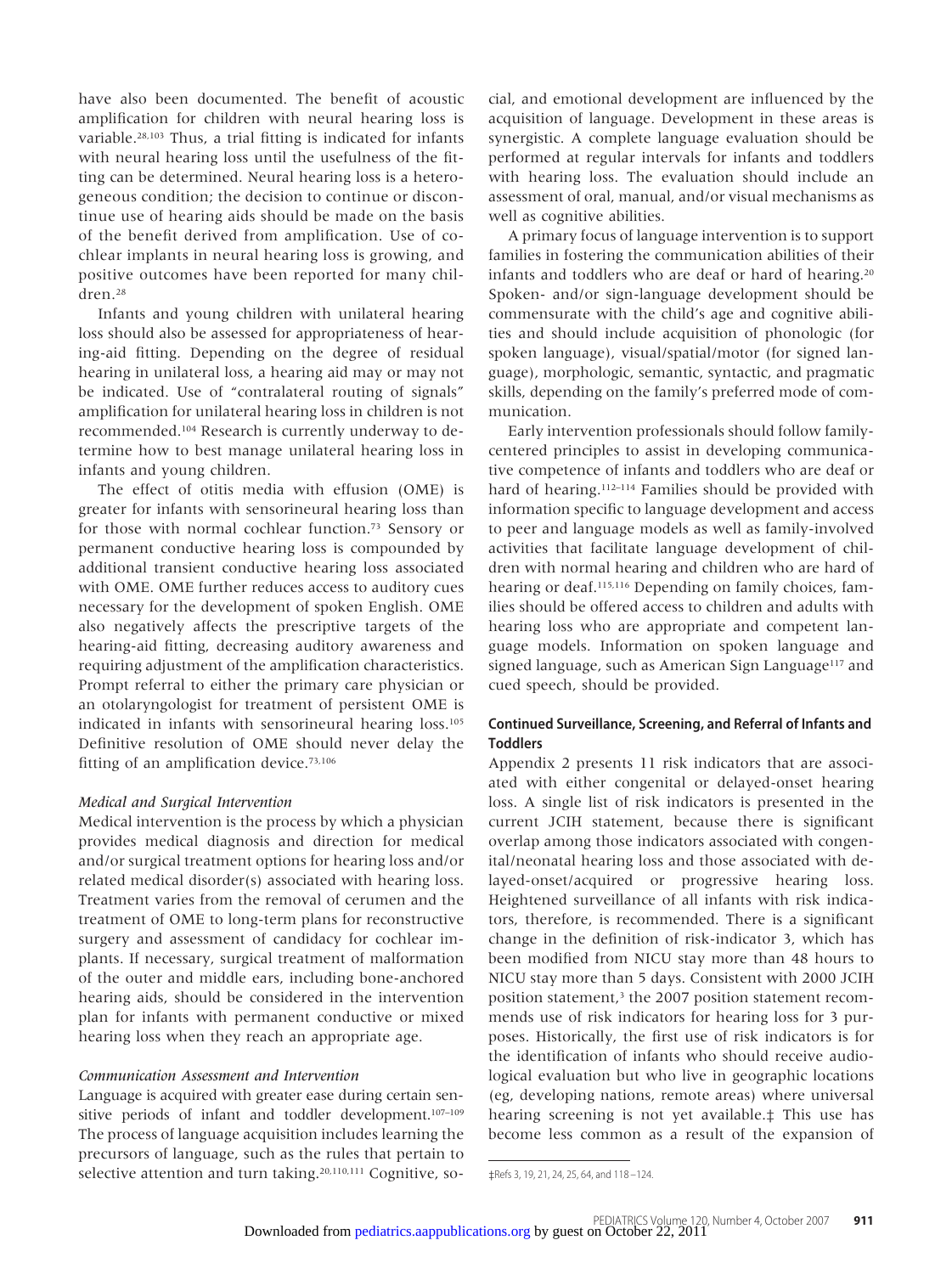have also been documented. The benefit of acoustic amplification for children with neural hearing loss is variable.28,103 Thus, a trial fitting is indicated for infants with neural hearing loss until the usefulness of the fitting can be determined. Neural hearing loss is a heterogeneous condition; the decision to continue or discontinue use of hearing aids should be made on the basis of the benefit derived from amplification. Use of cochlear implants in neural hearing loss is growing, and positive outcomes have been reported for many children.28

Infants and young children with unilateral hearing loss should also be assessed for appropriateness of hearing-aid fitting. Depending on the degree of residual hearing in unilateral loss, a hearing aid may or may not be indicated. Use of "contralateral routing of signals" amplification for unilateral hearing loss in children is not recommended.104 Research is currently underway to determine how to best manage unilateral hearing loss in infants and young children.

The effect of otitis media with effusion (OME) is greater for infants with sensorineural hearing loss than for those with normal cochlear function.73 Sensory or permanent conductive hearing loss is compounded by additional transient conductive hearing loss associated with OME. OME further reduces access to auditory cues necessary for the development of spoken English. OME also negatively affects the prescriptive targets of the hearing-aid fitting, decreasing auditory awareness and requiring adjustment of the amplification characteristics. Prompt referral to either the primary care physician or an otolaryngologist for treatment of persistent OME is indicated in infants with sensorineural hearing loss.105 Definitive resolution of OME should never delay the fitting of an amplification device.73,106

#### *Medical and Surgical Intervention*

Medical intervention is the process by which a physician provides medical diagnosis and direction for medical and/or surgical treatment options for hearing loss and/or related medical disorder(s) associated with hearing loss. Treatment varies from the removal of cerumen and the treatment of OME to long-term plans for reconstructive surgery and assessment of candidacy for cochlear implants. If necessary, surgical treatment of malformation of the outer and middle ears, including bone-anchored hearing aids, should be considered in the intervention plan for infants with permanent conductive or mixed hearing loss when they reach an appropriate age.

#### *Communication Assessment and Intervention*

Language is acquired with greater ease during certain sensitive periods of infant and toddler development.<sup>107-109</sup> The process of language acquisition includes learning the precursors of language, such as the rules that pertain to selective attention and turn taking.20,110,111 Cognitive, social, and emotional development are influenced by the acquisition of language. Development in these areas is synergistic. A complete language evaluation should be performed at regular intervals for infants and toddlers with hearing loss. The evaluation should include an assessment of oral, manual, and/or visual mechanisms as well as cognitive abilities.

A primary focus of language intervention is to support families in fostering the communication abilities of their infants and toddlers who are deaf or hard of hearing.20 Spoken- and/or sign-language development should be commensurate with the child's age and cognitive abilities and should include acquisition of phonologic (for spoken language), visual/spatial/motor (for signed language), morphologic, semantic, syntactic, and pragmatic skills, depending on the family's preferred mode of communication.

Early intervention professionals should follow familycentered principles to assist in developing communicative competence of infants and toddlers who are deaf or hard of hearing.<sup>112–114</sup> Families should be provided with information specific to language development and access to peer and language models as well as family-involved activities that facilitate language development of children with normal hearing and children who are hard of hearing or deaf.<sup>115,116</sup> Depending on family choices, families should be offered access to children and adults with hearing loss who are appropriate and competent language models. Information on spoken language and signed language, such as American Sign Language<sup>117</sup> and cued speech, should be provided.

#### **Continued Surveillance, Screening, and Referral of Infants and Toddlers**

Appendix 2 presents 11 risk indicators that are associated with either congenital or delayed-onset hearing loss. A single list of risk indicators is presented in the current JCIH statement, because there is significant overlap among those indicators associated with congenital/neonatal hearing loss and those associated with delayed-onset/acquired or progressive hearing loss. Heightened surveillance of all infants with risk indicators, therefore, is recommended. There is a significant change in the definition of risk-indicator 3, which has been modified from NICU stay more than 48 hours to NICU stay more than 5 days. Consistent with 2000 JCIH position statement,<sup>3</sup> the 2007 position statement recommends use of risk indicators for hearing loss for 3 purposes. Historically, the first use of risk indicators is for the identification of infants who should receive audiological evaluation but who live in geographic locations (eg, developing nations, remote areas) where universal hearing screening is not yet available.‡ This use has become less common as a result of the expansion of

<sup>‡</sup>Refs 3, 19, 21, 24, 25, 64, and 118 –124.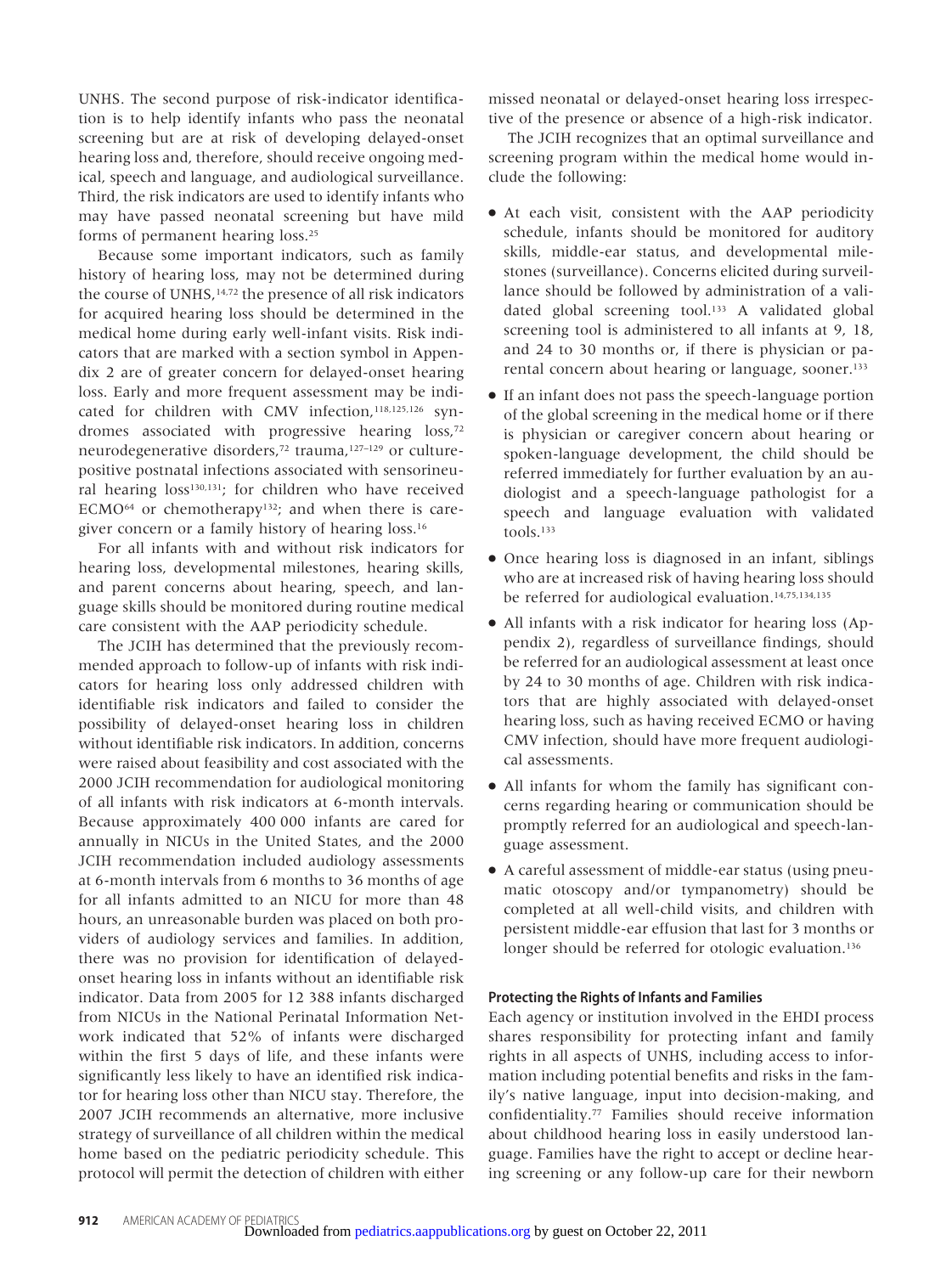UNHS. The second purpose of risk-indicator identification is to help identify infants who pass the neonatal screening but are at risk of developing delayed-onset hearing loss and, therefore, should receive ongoing medical, speech and language, and audiological surveillance. Third, the risk indicators are used to identify infants who may have passed neonatal screening but have mild forms of permanent hearing loss.25

Because some important indicators, such as family history of hearing loss, may not be determined during the course of UNHS,<sup>14,72</sup> the presence of all risk indicators for acquired hearing loss should be determined in the medical home during early well-infant visits. Risk indicators that are marked with a section symbol in Appendix 2 are of greater concern for delayed-onset hearing loss. Early and more frequent assessment may be indicated for children with CMV infection,<sup>118,125,126</sup> syndromes associated with progressive hearing loss,<sup>72</sup> neurodegenerative disorders,<sup>72</sup> trauma,<sup>127-129</sup> or culturepositive postnatal infections associated with sensorineural hearing loss<sup>130,131</sup>; for children who have received  $ECMO<sup>64</sup>$  or chemotherapy<sup>132</sup>; and when there is caregiver concern or a family history of hearing loss.16

For all infants with and without risk indicators for hearing loss, developmental milestones, hearing skills, and parent concerns about hearing, speech, and language skills should be monitored during routine medical care consistent with the AAP periodicity schedule.

The JCIH has determined that the previously recommended approach to follow-up of infants with risk indicators for hearing loss only addressed children with identifiable risk indicators and failed to consider the possibility of delayed-onset hearing loss in children without identifiable risk indicators. In addition, concerns were raised about feasibility and cost associated with the 2000 JCIH recommendation for audiological monitoring of all infants with risk indicators at 6-month intervals. Because approximately 400 000 infants are cared for annually in NICUs in the United States, and the 2000 JCIH recommendation included audiology assessments at 6-month intervals from 6 months to 36 months of age for all infants admitted to an NICU for more than 48 hours, an unreasonable burden was placed on both providers of audiology services and families. In addition, there was no provision for identification of delayedonset hearing loss in infants without an identifiable risk indicator. Data from 2005 for 12 388 infants discharged from NICUs in the National Perinatal Information Network indicated that 52% of infants were discharged within the first 5 days of life, and these infants were significantly less likely to have an identified risk indicator for hearing loss other than NICU stay. Therefore, the 2007 JCIH recommends an alternative, more inclusive strategy of surveillance of all children within the medical home based on the pediatric periodicity schedule. This protocol will permit the detection of children with either

missed neonatal or delayed-onset hearing loss irrespective of the presence or absence of a high-risk indicator.

The JCIH recognizes that an optimal surveillance and screening program within the medical home would include the following:

- At each visit, consistent with the AAP periodicity schedule, infants should be monitored for auditory skills, middle-ear status, and developmental milestones (surveillance). Concerns elicited during surveillance should be followed by administration of a validated global screening tool.133 A validated global screening tool is administered to all infants at 9, 18, and 24 to 30 months or, if there is physician or parental concern about hearing or language, sooner.<sup>133</sup>
- If an infant does not pass the speech-language portion of the global screening in the medical home or if there is physician or caregiver concern about hearing or spoken-language development, the child should be referred immediately for further evaluation by an audiologist and a speech-language pathologist for a speech and language evaluation with validated tools.133
- Once hearing loss is diagnosed in an infant, siblings who are at increased risk of having hearing loss should be referred for audiological evaluation.<sup>14,75,134,135</sup>
- All infants with a risk indicator for hearing loss (Appendix 2), regardless of surveillance findings, should be referred for an audiological assessment at least once by 24 to 30 months of age. Children with risk indicators that are highly associated with delayed-onset hearing loss, such as having received ECMO or having CMV infection, should have more frequent audiological assessments.
- All infants for whom the family has significant concerns regarding hearing or communication should be promptly referred for an audiological and speech-language assessment.
- A careful assessment of middle-ear status (using pneumatic otoscopy and/or tympanometry) should be completed at all well-child visits, and children with persistent middle-ear effusion that last for 3 months or longer should be referred for otologic evaluation.<sup>136</sup>

#### **Protecting the Rights of Infants and Families**

Each agency or institution involved in the EHDI process shares responsibility for protecting infant and family rights in all aspects of UNHS, including access to information including potential benefits and risks in the family's native language, input into decision-making, and confidentiality.77 Families should receive information about childhood hearing loss in easily understood language. Families have the right to accept or decline hearing screening or any follow-up care for their newborn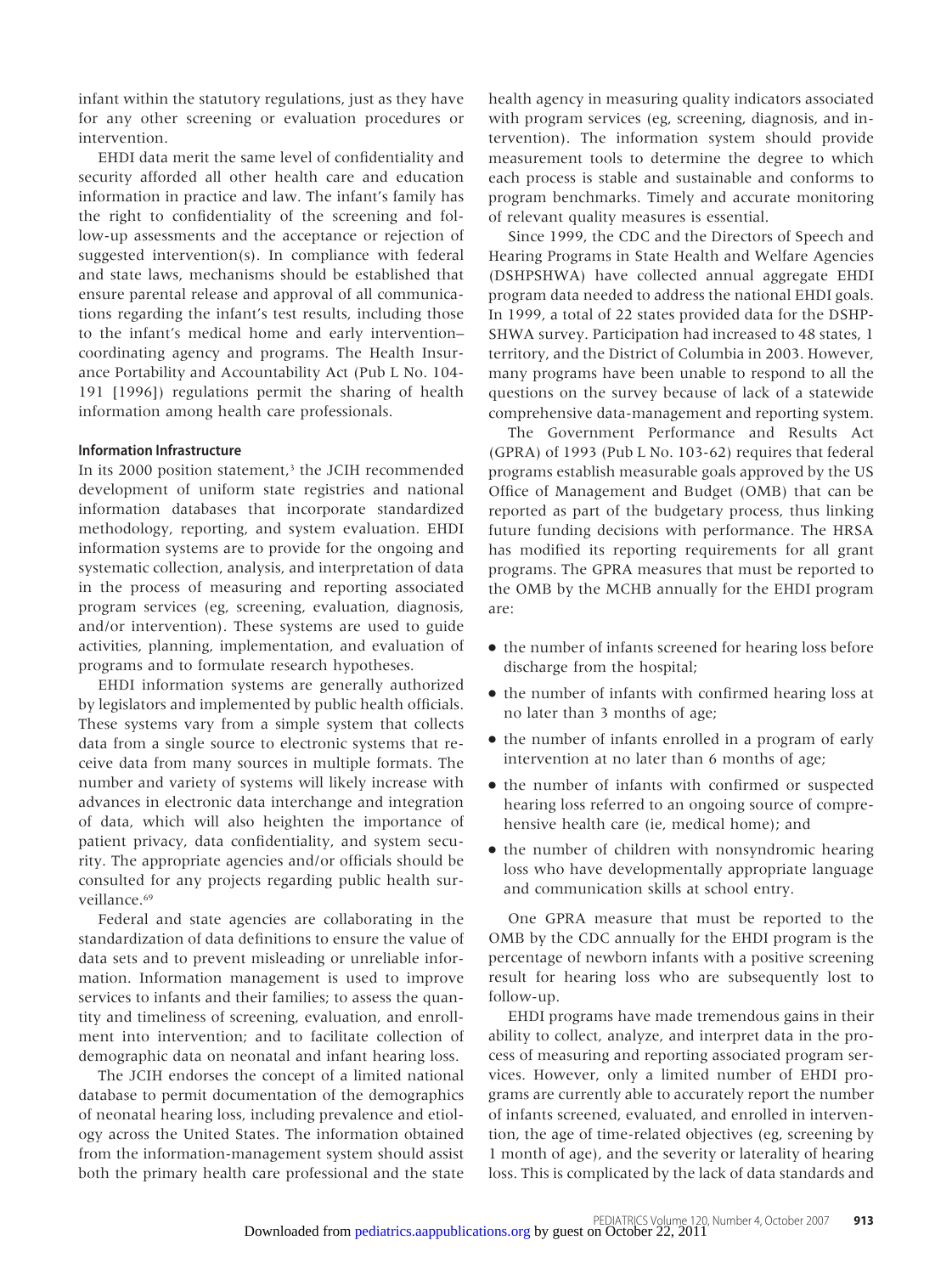infant within the statutory regulations, just as they have for any other screening or evaluation procedures or intervention.

EHDI data merit the same level of confidentiality and security afforded all other health care and education information in practice and law. The infant's family has the right to confidentiality of the screening and follow-up assessments and the acceptance or rejection of suggested intervention(s). In compliance with federal and state laws, mechanisms should be established that ensure parental release and approval of all communications regarding the infant's test results, including those to the infant's medical home and early intervention– coordinating agency and programs. The Health Insurance Portability and Accountability Act (Pub L No. 104- 191 [1996]) regulations permit the sharing of health information among health care professionals.

#### **Information Infrastructure**

In its 2000 position statement,<sup>3</sup> the JCIH recommended development of uniform state registries and national information databases that incorporate standardized methodology, reporting, and system evaluation. EHDI information systems are to provide for the ongoing and systematic collection, analysis, and interpretation of data in the process of measuring and reporting associated program services (eg, screening, evaluation, diagnosis, and/or intervention). These systems are used to guide activities, planning, implementation, and evaluation of programs and to formulate research hypotheses.

EHDI information systems are generally authorized by legislators and implemented by public health officials. These systems vary from a simple system that collects data from a single source to electronic systems that receive data from many sources in multiple formats. The number and variety of systems will likely increase with advances in electronic data interchange and integration of data, which will also heighten the importance of patient privacy, data confidentiality, and system security. The appropriate agencies and/or officials should be consulted for any projects regarding public health surveillance.<sup>69</sup>

Federal and state agencies are collaborating in the standardization of data definitions to ensure the value of data sets and to prevent misleading or unreliable information. Information management is used to improve services to infants and their families; to assess the quantity and timeliness of screening, evaluation, and enrollment into intervention; and to facilitate collection of demographic data on neonatal and infant hearing loss.

The JCIH endorses the concept of a limited national database to permit documentation of the demographics of neonatal hearing loss, including prevalence and etiology across the United States. The information obtained from the information-management system should assist both the primary health care professional and the state

health agency in measuring quality indicators associated with program services (eg, screening, diagnosis, and intervention). The information system should provide measurement tools to determine the degree to which each process is stable and sustainable and conforms to program benchmarks. Timely and accurate monitoring of relevant quality measures is essential.

Since 1999, the CDC and the Directors of Speech and Hearing Programs in State Health and Welfare Agencies (DSHPSHWA) have collected annual aggregate EHDI program data needed to address the national EHDI goals. In 1999, a total of 22 states provided data for the DSHP-SHWA survey. Participation had increased to 48 states, 1 territory, and the District of Columbia in 2003. However, many programs have been unable to respond to all the questions on the survey because of lack of a statewide comprehensive data-management and reporting system.

The Government Performance and Results Act (GPRA) of 1993 (Pub L No. 103-62) requires that federal programs establish measurable goals approved by the US Office of Management and Budget (OMB) that can be reported as part of the budgetary process, thus linking future funding decisions with performance. The HRSA has modified its reporting requirements for all grant programs. The GPRA measures that must be reported to the OMB by the MCHB annually for the EHDI program are:

- the number of infants screened for hearing loss before discharge from the hospital;
- the number of infants with confirmed hearing loss at no later than 3 months of age;
- the number of infants enrolled in a program of early intervention at no later than 6 months of age;
- the number of infants with confirmed or suspected hearing loss referred to an ongoing source of comprehensive health care (ie, medical home); and
- the number of children with nonsyndromic hearing loss who have developmentally appropriate language and communication skills at school entry.

One GPRA measure that must be reported to the OMB by the CDC annually for the EHDI program is the percentage of newborn infants with a positive screening result for hearing loss who are subsequently lost to follow-up.

EHDI programs have made tremendous gains in their ability to collect, analyze, and interpret data in the process of measuring and reporting associated program services. However, only a limited number of EHDI programs are currently able to accurately report the number of infants screened, evaluated, and enrolled in intervention, the age of time-related objectives (eg, screening by 1 month of age), and the severity or laterality of hearing loss. This is complicated by the lack of data standards and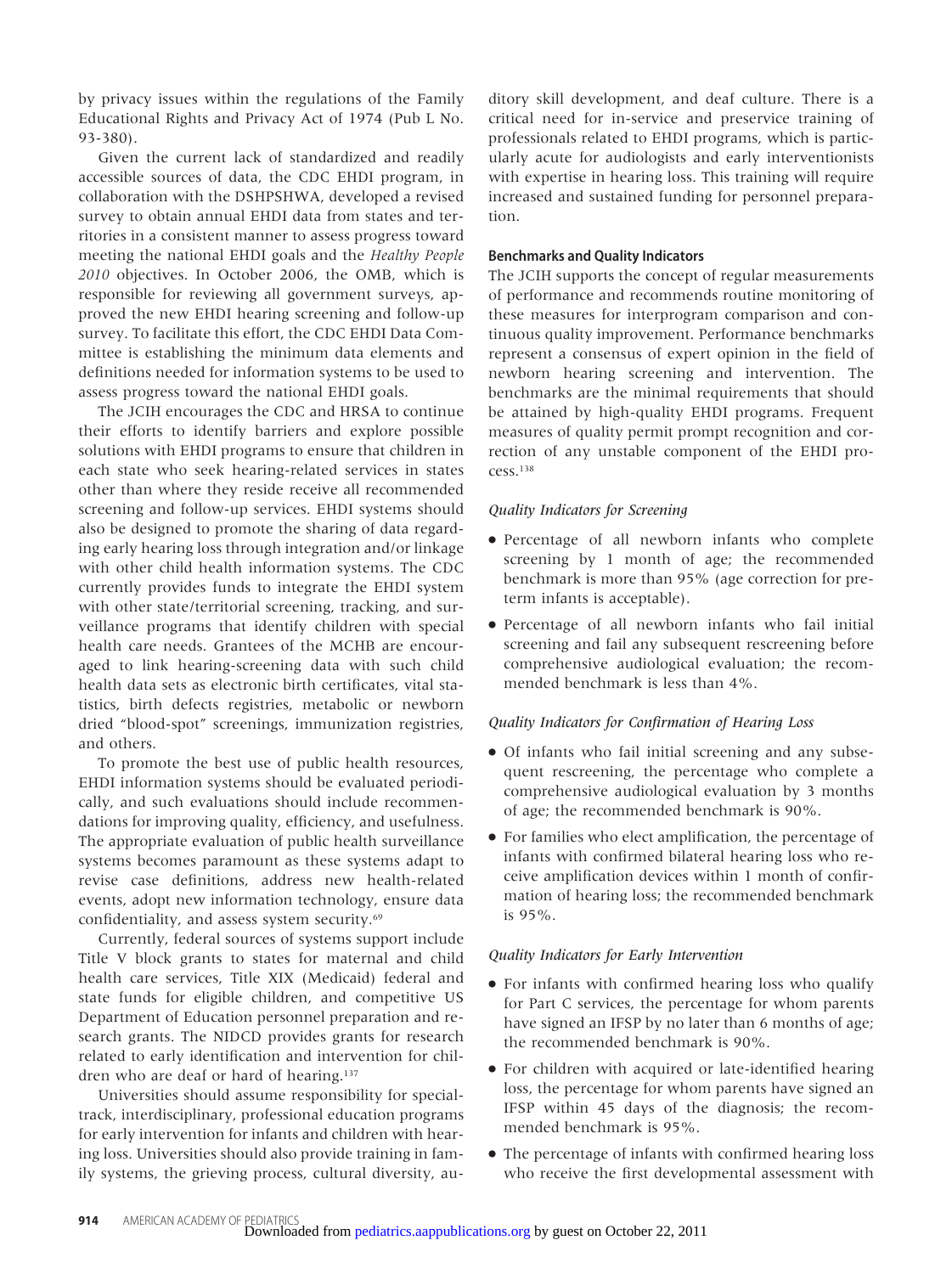by privacy issues within the regulations of the Family Educational Rights and Privacy Act of 1974 (Pub L No. 93-380).

Given the current lack of standardized and readily accessible sources of data, the CDC EHDI program, in collaboration with the DSHPSHWA, developed a revised survey to obtain annual EHDI data from states and territories in a consistent manner to assess progress toward meeting the national EHDI goals and the *Healthy People 2010* objectives. In October 2006, the OMB, which is responsible for reviewing all government surveys, approved the new EHDI hearing screening and follow-up survey. To facilitate this effort, the CDC EHDI Data Committee is establishing the minimum data elements and definitions needed for information systems to be used to assess progress toward the national EHDI goals.

The JCIH encourages the CDC and HRSA to continue their efforts to identify barriers and explore possible solutions with EHDI programs to ensure that children in each state who seek hearing-related services in states other than where they reside receive all recommended screening and follow-up services. EHDI systems should also be designed to promote the sharing of data regarding early hearing loss through integration and/or linkage with other child health information systems. The CDC currently provides funds to integrate the EHDI system with other state/territorial screening, tracking, and surveillance programs that identify children with special health care needs. Grantees of the MCHB are encouraged to link hearing-screening data with such child health data sets as electronic birth certificates, vital statistics, birth defects registries, metabolic or newborn dried "blood-spot" screenings, immunization registries, and others.

To promote the best use of public health resources, EHDI information systems should be evaluated periodically, and such evaluations should include recommendations for improving quality, efficiency, and usefulness. The appropriate evaluation of public health surveillance systems becomes paramount as these systems adapt to revise case definitions, address new health-related events, adopt new information technology, ensure data confidentiality, and assess system security.69

Currently, federal sources of systems support include Title V block grants to states for maternal and child health care services, Title XIX (Medicaid) federal and state funds for eligible children, and competitive US Department of Education personnel preparation and research grants. The NIDCD provides grants for research related to early identification and intervention for children who are deaf or hard of hearing.137

Universities should assume responsibility for specialtrack, interdisciplinary, professional education programs for early intervention for infants and children with hearing loss. Universities should also provide training in family systems, the grieving process, cultural diversity, auditory skill development, and deaf culture. There is a critical need for in-service and preservice training of professionals related to EHDI programs, which is particularly acute for audiologists and early interventionists with expertise in hearing loss. This training will require increased and sustained funding for personnel preparation.

#### **Benchmarks and Quality Indicators**

The JCIH supports the concept of regular measurements of performance and recommends routine monitoring of these measures for interprogram comparison and continuous quality improvement. Performance benchmarks represent a consensus of expert opinion in the field of newborn hearing screening and intervention. The benchmarks are the minimal requirements that should be attained by high-quality EHDI programs. Frequent measures of quality permit prompt recognition and correction of any unstable component of the EHDI process.138

#### *Quality Indicators for Screening*

- Percentage of all newborn infants who complete screening by 1 month of age; the recommended benchmark is more than 95% (age correction for preterm infants is acceptable).
- Percentage of all newborn infants who fail initial screening and fail any subsequent rescreening before comprehensive audiological evaluation; the recommended benchmark is less than 4%.

#### *Quality Indicators for Confirmation of Hearing Loss*

- Of infants who fail initial screening and any subsequent rescreening, the percentage who complete a comprehensive audiological evaluation by 3 months of age; the recommended benchmark is 90%.
- For families who elect amplification, the percentage of infants with confirmed bilateral hearing loss who receive amplification devices within 1 month of confirmation of hearing loss; the recommended benchmark is 95%.

#### *Quality Indicators for Early Intervention*

- For infants with confirmed hearing loss who qualify for Part C services, the percentage for whom parents have signed an IFSP by no later than 6 months of age; the recommended benchmark is 90%.
- For children with acquired or late-identified hearing loss, the percentage for whom parents have signed an IFSP within 45 days of the diagnosis; the recommended benchmark is 95%.
- The percentage of infants with confirmed hearing loss who receive the first developmental assessment with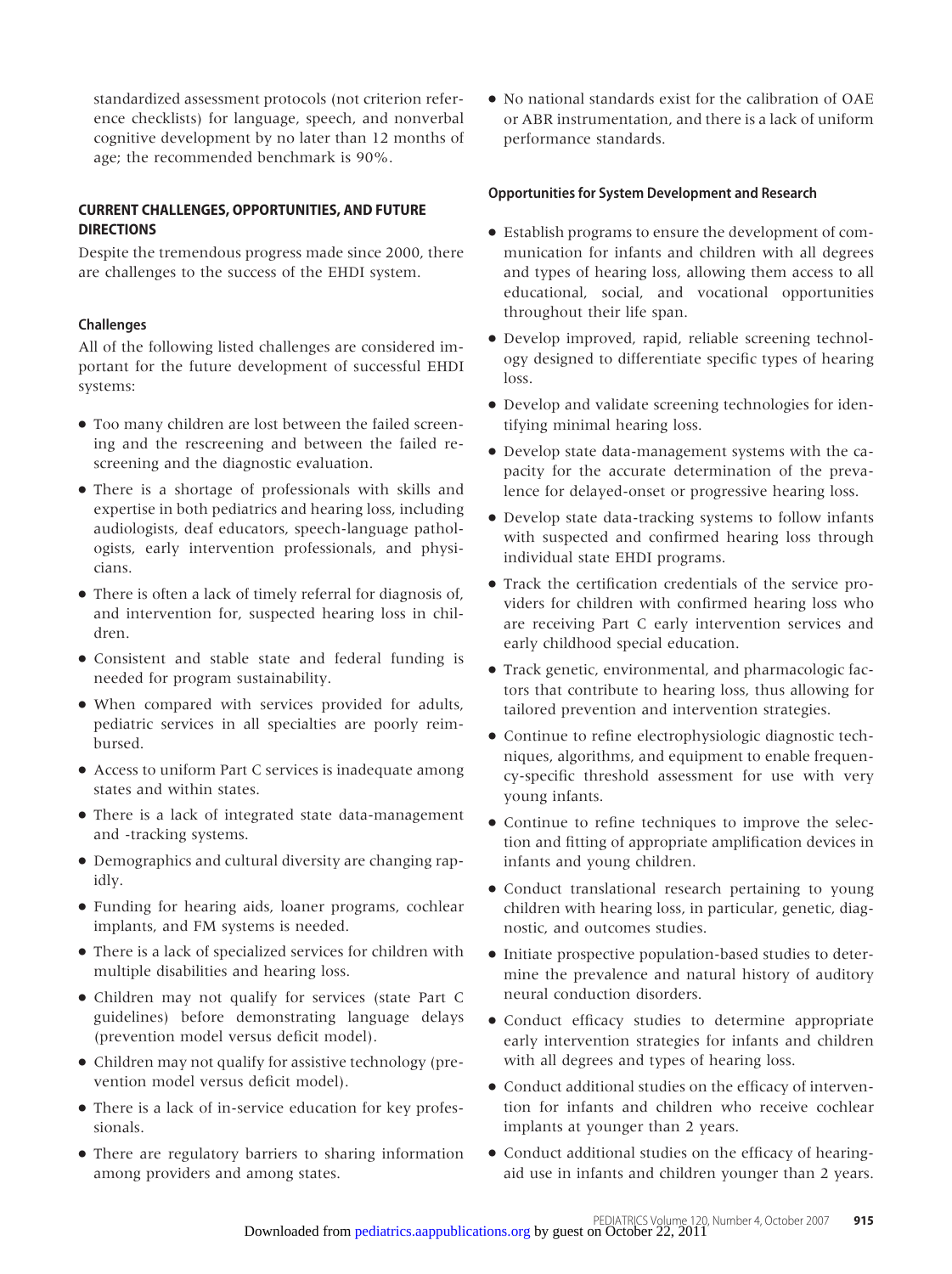standardized assessment protocols (not criterion reference checklists) for language, speech, and nonverbal cognitive development by no later than 12 months of age; the recommended benchmark is 90%.

#### **CURRENT CHALLENGES, OPPORTUNITIES, AND FUTURE DIRECTIONS**

Despite the tremendous progress made since 2000, there are challenges to the success of the EHDI system.

#### **Challenges**

All of the following listed challenges are considered important for the future development of successful EHDI systems:

- Too many children are lost between the failed screening and the rescreening and between the failed rescreening and the diagnostic evaluation.
- There is a shortage of professionals with skills and expertise in both pediatrics and hearing loss, including audiologists, deaf educators, speech-language pathologists, early intervention professionals, and physicians.
- There is often a lack of timely referral for diagnosis of, and intervention for, suspected hearing loss in children.
- Consistent and stable state and federal funding is needed for program sustainability.
- When compared with services provided for adults, pediatric services in all specialties are poorly reimbursed.
- Access to uniform Part C services is inadequate among states and within states.
- There is a lack of integrated state data-management and -tracking systems.
- Demographics and cultural diversity are changing rapidly.
- Funding for hearing aids, loaner programs, cochlear implants, and FM systems is needed.
- There is a lack of specialized services for children with multiple disabilities and hearing loss.
- Children may not qualify for services (state Part C guidelines) before demonstrating language delays (prevention model versus deficit model).
- Children may not qualify for assistive technology (prevention model versus deficit model).
- There is a lack of in-service education for key professionals.
- There are regulatory barriers to sharing information among providers and among states.

● No national standards exist for the calibration of OAE or ABR instrumentation, and there is a lack of uniform performance standards.

#### **Opportunities for System Development and Research**

- Establish programs to ensure the development of communication for infants and children with all degrees and types of hearing loss, allowing them access to all educational, social, and vocational opportunities throughout their life span.
- Develop improved, rapid, reliable screening technology designed to differentiate specific types of hearing loss.
- Develop and validate screening technologies for identifying minimal hearing loss.
- Develop state data-management systems with the capacity for the accurate determination of the prevalence for delayed-onset or progressive hearing loss.
- Develop state data-tracking systems to follow infants with suspected and confirmed hearing loss through individual state EHDI programs.
- Track the certification credentials of the service providers for children with confirmed hearing loss who are receiving Part C early intervention services and early childhood special education.
- Track genetic, environmental, and pharmacologic factors that contribute to hearing loss, thus allowing for tailored prevention and intervention strategies.
- Continue to refine electrophysiologic diagnostic techniques, algorithms, and equipment to enable frequency-specific threshold assessment for use with very young infants.
- Continue to refine techniques to improve the selection and fitting of appropriate amplification devices in infants and young children.
- Conduct translational research pertaining to young children with hearing loss, in particular, genetic, diagnostic, and outcomes studies.
- Initiate prospective population-based studies to determine the prevalence and natural history of auditory neural conduction disorders.
- Conduct efficacy studies to determine appropriate early intervention strategies for infants and children with all degrees and types of hearing loss.
- Conduct additional studies on the efficacy of intervention for infants and children who receive cochlear implants at younger than 2 years.
- Conduct additional studies on the efficacy of hearingaid use in infants and children younger than 2 years.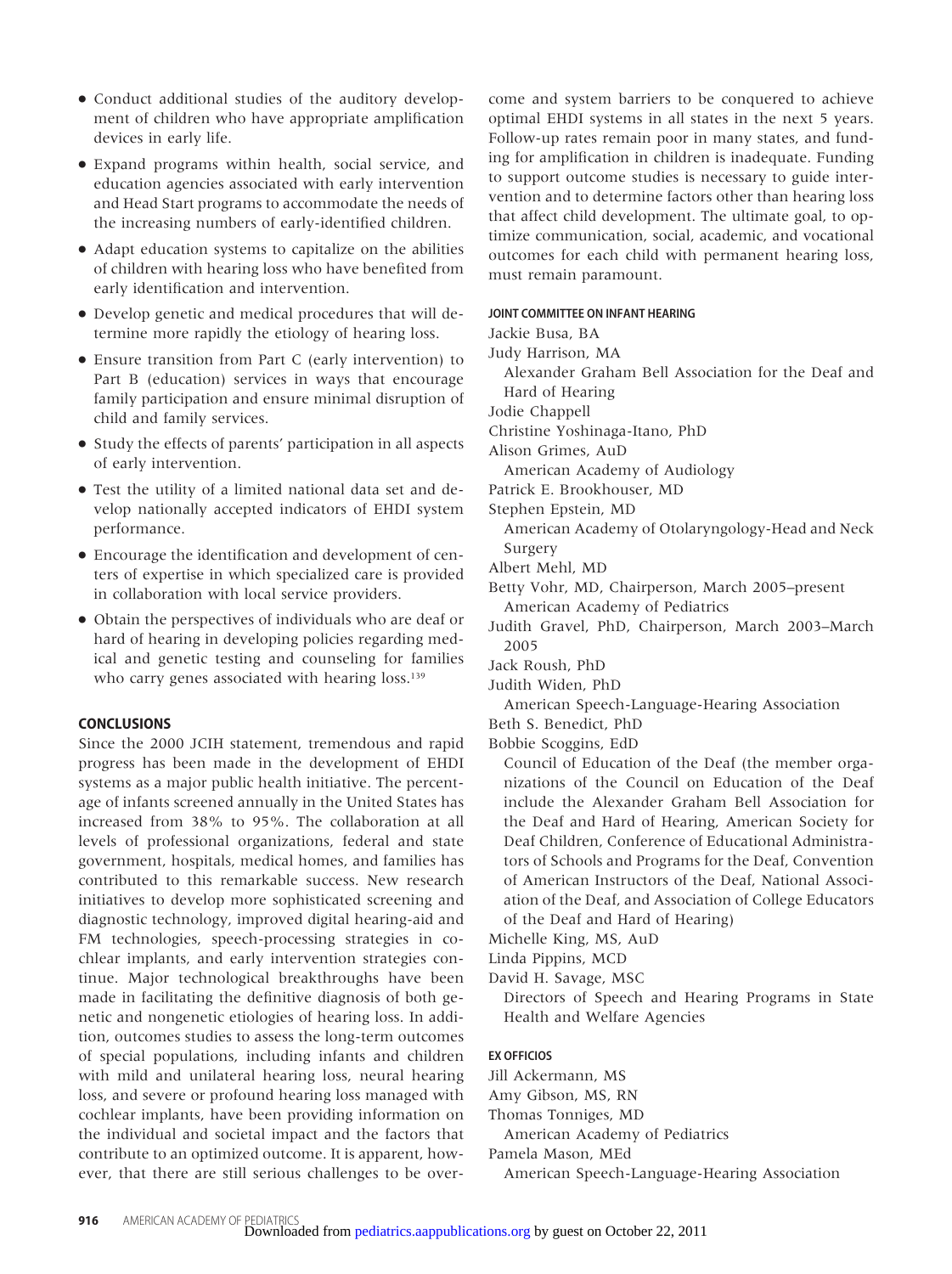- Conduct additional studies of the auditory development of children who have appropriate amplification devices in early life.
- Expand programs within health, social service, and education agencies associated with early intervention and Head Start programs to accommodate the needs of the increasing numbers of early-identified children.
- Adapt education systems to capitalize on the abilities of children with hearing loss who have benefited from early identification and intervention.
- Develop genetic and medical procedures that will determine more rapidly the etiology of hearing loss.
- Ensure transition from Part C (early intervention) to Part B (education) services in ways that encourage family participation and ensure minimal disruption of child and family services.
- Study the effects of parents' participation in all aspects of early intervention.
- Test the utility of a limited national data set and develop nationally accepted indicators of EHDI system performance.
- Encourage the identification and development of centers of expertise in which specialized care is provided in collaboration with local service providers.
- Obtain the perspectives of individuals who are deaf or hard of hearing in developing policies regarding medical and genetic testing and counseling for families who carry genes associated with hearing loss.<sup>139</sup>

#### **CONCLUSIONS**

Since the 2000 JCIH statement, tremendous and rapid progress has been made in the development of EHDI systems as a major public health initiative. The percentage of infants screened annually in the United States has increased from 38% to 95%. The collaboration at all levels of professional organizations, federal and state government, hospitals, medical homes, and families has contributed to this remarkable success. New research initiatives to develop more sophisticated screening and diagnostic technology, improved digital hearing-aid and FM technologies, speech-processing strategies in cochlear implants, and early intervention strategies continue. Major technological breakthroughs have been made in facilitating the definitive diagnosis of both genetic and nongenetic etiologies of hearing loss. In addition, outcomes studies to assess the long-term outcomes of special populations, including infants and children with mild and unilateral hearing loss, neural hearing loss, and severe or profound hearing loss managed with cochlear implants, have been providing information on the individual and societal impact and the factors that contribute to an optimized outcome. It is apparent, however, that there are still serious challenges to be overcome and system barriers to be conquered to achieve optimal EHDI systems in all states in the next 5 years. Follow-up rates remain poor in many states, and funding for amplification in children is inadequate. Funding to support outcome studies is necessary to guide intervention and to determine factors other than hearing loss that affect child development. The ultimate goal, to optimize communication, social, academic, and vocational outcomes for each child with permanent hearing loss, must remain paramount.

#### **JOINT COMMITTEE ON INFANT HEARING**

Jackie Busa, BA

- Judy Harrison, MA
- Alexander Graham Bell Association for the Deaf and Hard of Hearing

Jodie Chappell

- Christine Yoshinaga-Itano, PhD
- Alison Grimes, AuD
- American Academy of Audiology

Patrick E. Brookhouser, MD

Stephen Epstein, MD

- American Academy of Otolaryngology-Head and Neck Surgery
- Albert Mehl, MD
- Betty Vohr, MD, Chairperson, March 2005–present American Academy of Pediatrics
- Judith Gravel, PhD, Chairperson, March 2003–March 2005
- Jack Roush, PhD
- Judith Widen, PhD

American Speech-Language-Hearing Association

- Beth S. Benedict, PhD
- Bobbie Scoggins, EdD
- Council of Education of the Deaf (the member organizations of the Council on Education of the Deaf include the Alexander Graham Bell Association for the Deaf and Hard of Hearing, American Society for Deaf Children, Conference of Educational Administrators of Schools and Programs for the Deaf, Convention of American Instructors of the Deaf, National Association of the Deaf, and Association of College Educators of the Deaf and Hard of Hearing)

Michelle King, MS, AuD

Linda Pippins, MCD

- David H. Savage, MSC
	- Directors of Speech and Hearing Programs in State Health and Welfare Agencies

#### **EX OFFICIOS**

Jill Ackermann, MS

Amy Gibson, MS, RN

Thomas Tonniges, MD

American Academy of Pediatrics

Pamela Mason, MEd

American Speech-Language-Hearing Association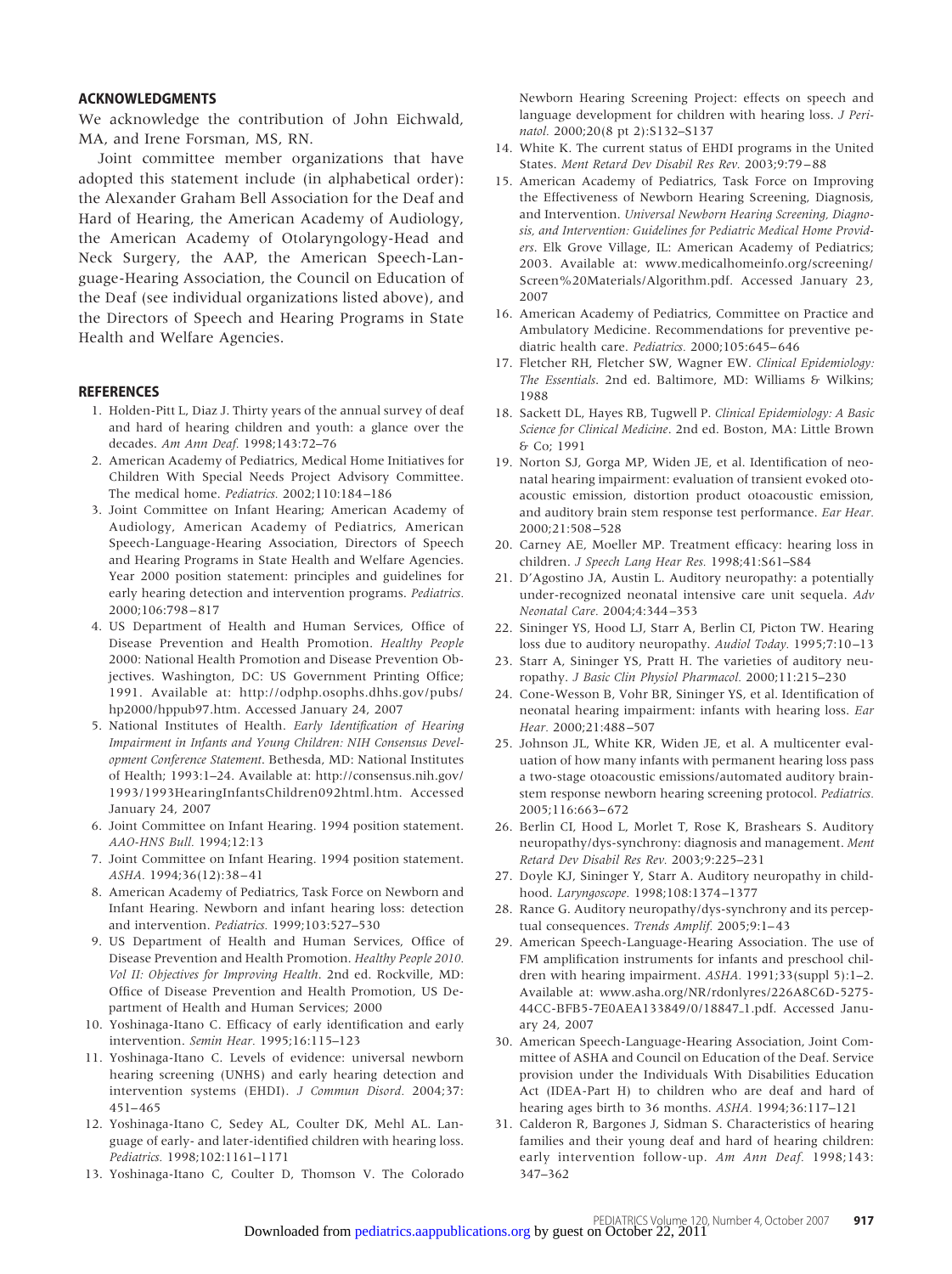#### **ACKNOWLEDGMENTS**

We acknowledge the contribution of John Eichwald, MA, and Irene Forsman, MS, RN.

Joint committee member organizations that have adopted this statement include (in alphabetical order): the Alexander Graham Bell Association for the Deaf and Hard of Hearing, the American Academy of Audiology, the American Academy of Otolaryngology-Head and Neck Surgery, the AAP, the American Speech-Language-Hearing Association, the Council on Education of the Deaf (see individual organizations listed above), and the Directors of Speech and Hearing Programs in State Health and Welfare Agencies.

#### **REFERENCES**

- 1. Holden-Pitt L, Diaz J. Thirty years of the annual survey of deaf and hard of hearing children and youth: a glance over the decades. *Am Ann Deaf.* 1998;143:72–76
- 2. American Academy of Pediatrics, Medical Home Initiatives for Children With Special Needs Project Advisory Committee. The medical home. *Pediatrics.* 2002;110:184 –186
- 3. Joint Committee on Infant Hearing; American Academy of Audiology, American Academy of Pediatrics, American Speech-Language-Hearing Association, Directors of Speech and Hearing Programs in State Health and Welfare Agencies. Year 2000 position statement: principles and guidelines for early hearing detection and intervention programs. *Pediatrics.* 2000;106:798 – 817
- 4. US Department of Health and Human Services, Office of Disease Prevention and Health Promotion. *Healthy People* 2000: National Health Promotion and Disease Prevention Objectives. Washington, DC: US Government Printing Office; 1991. Available at: http://odphp.osophs.dhhs.gov/pubs/ hp2000/hppub97.htm. Accessed January 24, 2007
- 5. National Institutes of Health. *Early Identification of Hearing Impairment in Infants and Young Children: NIH Consensus Development Conference Statement*. Bethesda, MD: National Institutes of Health; 1993:1–24. Available at: http://consensus.nih.gov/ 1993/1993HearingInfantsChildren092html.htm. Accessed January 24, 2007
- 6. Joint Committee on Infant Hearing. 1994 position statement. *AAO-HNS Bull.* 1994;12:13
- 7. Joint Committee on Infant Hearing. 1994 position statement. *ASHA.* 1994;36(12):38 – 41
- 8. American Academy of Pediatrics, Task Force on Newborn and Infant Hearing. Newborn and infant hearing loss: detection and intervention. *Pediatrics.* 1999;103:527–530
- 9. US Department of Health and Human Services, Office of Disease Prevention and Health Promotion. *Healthy People 2010. Vol II: Objectives for Improving Health*. 2nd ed. Rockville, MD: Office of Disease Prevention and Health Promotion, US Department of Health and Human Services; 2000
- 10. Yoshinaga-Itano C. Efficacy of early identification and early intervention. *Semin Hear.* 1995;16:115–123
- 11. Yoshinaga-Itano C. Levels of evidence: universal newborn hearing screening (UNHS) and early hearing detection and intervention systems (EHDI). *J Commun Disord.* 2004;37:  $451 - 465$
- 12. Yoshinaga-Itano C, Sedey AL, Coulter DK, Mehl AL. Language of early- and later-identified children with hearing loss. *Pediatrics.* 1998;102:1161–1171
- 13. Yoshinaga-Itano C, Coulter D, Thomson V. The Colorado

Newborn Hearing Screening Project: effects on speech and language development for children with hearing loss. *J Perinatol.* 2000;20(8 pt 2):S132–S137

- 14. White K. The current status of EHDI programs in the United States. *Ment Retard Dev Disabil Res Rev.* 2003;9:79 – 88
- 15. American Academy of Pediatrics, Task Force on Improving the Effectiveness of Newborn Hearing Screening, Diagnosis, and Intervention. *Universal Newborn Hearing Screening, Diagnosis, and Intervention: Guidelines for Pediatric Medical Home Providers*. Elk Grove Village, IL: American Academy of Pediatrics; 2003. Available at: www.medicalhomeinfo.org/screening/ Screen%20Materials/Algorithm.pdf. Accessed January 23, 2007
- 16. American Academy of Pediatrics, Committee on Practice and Ambulatory Medicine. Recommendations for preventive pediatric health care. *Pediatrics.* 2000;105:645– 646
- 17. Fletcher RH, Fletcher SW, Wagner EW. *Clinical Epidemiology: The Essentials*. 2nd ed. Baltimore, MD: Williams & Wilkins; 1988
- 18. Sackett DL, Hayes RB, Tugwell P. *Clinical Epidemiology: A Basic Science for Clinical Medicine*. 2nd ed. Boston, MA: Little Brown & Co; 1991
- 19. Norton SJ, Gorga MP, Widen JE, et al. Identification of neonatal hearing impairment: evaluation of transient evoked otoacoustic emission, distortion product otoacoustic emission, and auditory brain stem response test performance. *Ear Hear.* 2000;21:508 –528
- 20. Carney AE, Moeller MP. Treatment efficacy: hearing loss in children. *J Speech Lang Hear Res.* 1998;41:S61–S84
- 21. D'Agostino JA, Austin L. Auditory neuropathy: a potentially under-recognized neonatal intensive care unit sequela. *Adv Neonatal Care.* 2004;4:344 –353
- 22. Sininger YS, Hood LJ, Starr A, Berlin CI, Picton TW. Hearing loss due to auditory neuropathy. *Audiol Today.* 1995;7:10 –13
- 23. Starr A, Sininger YS, Pratt H. The varieties of auditory neuropathy. *J Basic Clin Physiol Pharmacol.* 2000;11:215–230
- 24. Cone-Wesson B, Vohr BR, Sininger YS, et al. Identification of neonatal hearing impairment: infants with hearing loss. *Ear Hear.* 2000;21:488 –507
- 25. Johnson JL, White KR, Widen JE, et al. A multicenter evaluation of how many infants with permanent hearing loss pass a two-stage otoacoustic emissions/automated auditory brainstem response newborn hearing screening protocol. *Pediatrics.* 2005;116:663– 672
- 26. Berlin CI, Hood L, Morlet T, Rose K, Brashears S. Auditory neuropathy/dys-synchrony: diagnosis and management. *Ment Retard Dev Disabil Res Rev.* 2003;9:225–231
- 27. Doyle KJ, Sininger Y, Starr A. Auditory neuropathy in childhood. *Laryngoscope.* 1998;108:1374 –1377
- 28. Rance G. Auditory neuropathy/dys-synchrony and its perceptual consequences. *Trends Amplif.* 2005;9:1– 43
- 29. American Speech-Language-Hearing Association. The use of FM amplification instruments for infants and preschool children with hearing impairment. *ASHA.* 1991;33(suppl 5):1–2. Available at: www.asha.org/NR/rdonlyres/226A8C6D-5275- 44CC-BFB5-7E0AEA133849/0/18847-1.pdf. Accessed January 24, 2007
- 30. American Speech-Language-Hearing Association, Joint Committee of ASHA and Council on Education of the Deaf. Service provision under the Individuals With Disabilities Education Act (IDEA-Part H) to children who are deaf and hard of hearing ages birth to 36 months. *ASHA.* 1994;36:117–121
- 31. Calderon R, Bargones J, Sidman S. Characteristics of hearing families and their young deaf and hard of hearing children: early intervention follow-up. *Am Ann Deaf.* 1998;143: 347–362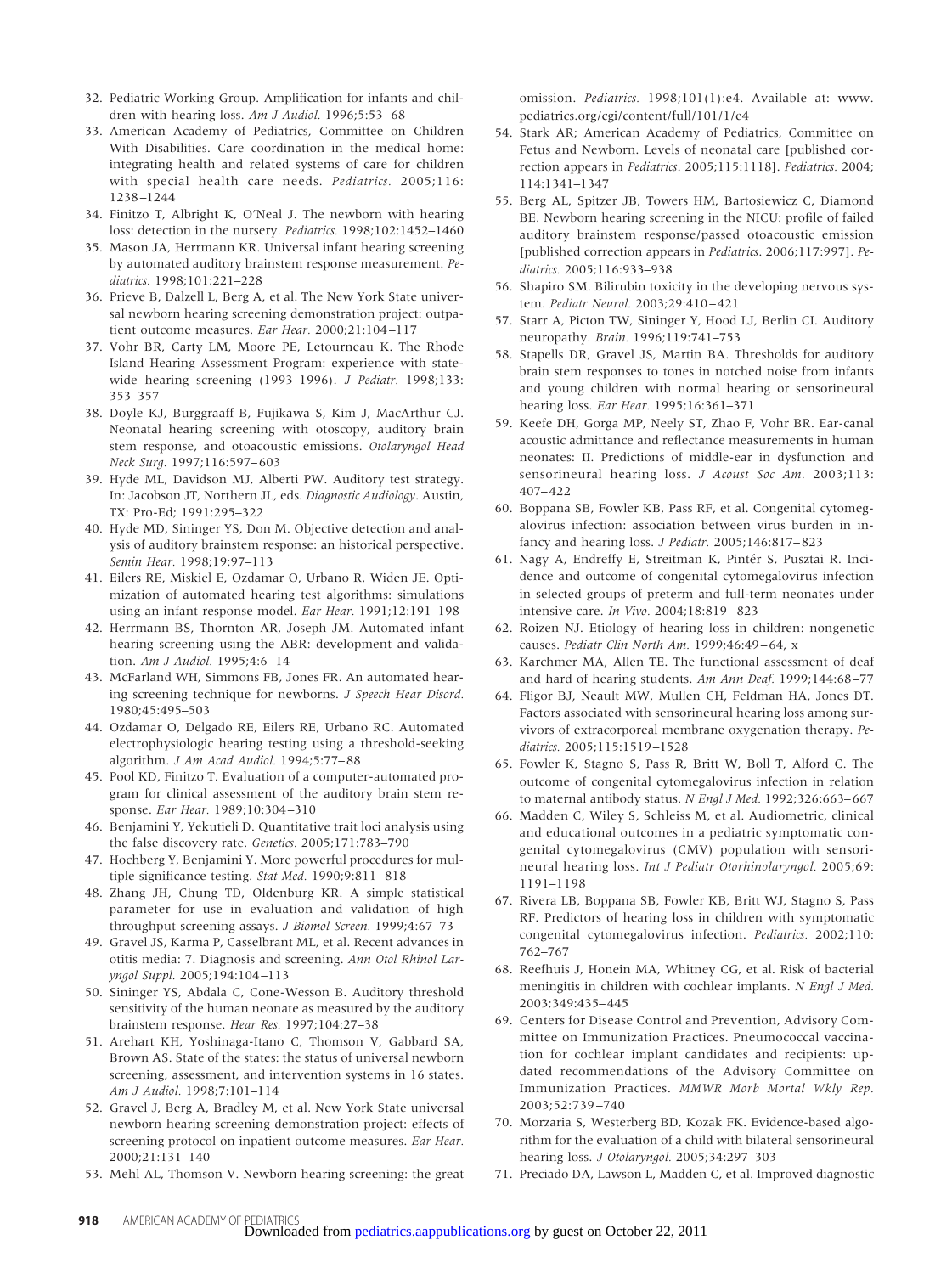- 32. Pediatric Working Group. Amplification for infants and children with hearing loss. Am J Audiol. 1996;5:53-68
- 33. American Academy of Pediatrics, Committee on Children With Disabilities. Care coordination in the medical home: integrating health and related systems of care for children with special health care needs. *Pediatrics.* 2005;116: 1238 –1244
- 34. Finitzo T, Albright K, O'Neal J. The newborn with hearing loss: detection in the nursery. *Pediatrics.* 1998;102:1452–1460
- 35. Mason JA, Herrmann KR. Universal infant hearing screening by automated auditory brainstem response measurement. *Pediatrics.* 1998;101:221–228
- 36. Prieve B, Dalzell L, Berg A, et al. The New York State universal newborn hearing screening demonstration project: outpatient outcome measures. *Ear Hear.* 2000;21:104 –117
- 37. Vohr BR, Carty LM, Moore PE, Letourneau K. The Rhode Island Hearing Assessment Program: experience with statewide hearing screening (1993–1996). *J Pediatr.* 1998;133: 353–357
- 38. Doyle KJ, Burggraaff B, Fujikawa S, Kim J, MacArthur CJ. Neonatal hearing screening with otoscopy, auditory brain stem response, and otoacoustic emissions. *Otolaryngol Head Neck Surg.* 1997;116:597– 603
- 39. Hyde ML, Davidson MJ, Alberti PW. Auditory test strategy. In: Jacobson JT, Northern JL, eds. *Diagnostic Audiology*. Austin, TX: Pro-Ed; 1991:295–322
- 40. Hyde MD, Sininger YS, Don M. Objective detection and analysis of auditory brainstem response: an historical perspective. *Semin Hear.* 1998;19:97–113
- 41. Eilers RE, Miskiel E, Ozdamar O, Urbano R, Widen JE. Optimization of automated hearing test algorithms: simulations using an infant response model. *Ear Hear.* 1991;12:191–198
- 42. Herrmann BS, Thornton AR, Joseph JM. Automated infant hearing screening using the ABR: development and validation. *Am J Audiol.* 1995;4:6 –14
- 43. McFarland WH, Simmons FB, Jones FR. An automated hearing screening technique for newborns. *J Speech Hear Disord.* 1980;45:495–503
- 44. Ozdamar O, Delgado RE, Eilers RE, Urbano RC. Automated electrophysiologic hearing testing using a threshold-seeking algorithm. *J Am Acad Audiol.* 1994;5:77– 88
- 45. Pool KD, Finitzo T. Evaluation of a computer-automated program for clinical assessment of the auditory brain stem response. *Ear Hear.* 1989;10:304 –310
- 46. Benjamini Y, Yekutieli D. Quantitative trait loci analysis using the false discovery rate. *Genetics.* 2005;171:783–790
- 47. Hochberg Y, Benjamini Y. More powerful procedures for multiple significance testing. Stat Med. 1990;9:811-818
- 48. Zhang JH, Chung TD, Oldenburg KR. A simple statistical parameter for use in evaluation and validation of high throughput screening assays. *J Biomol Screen.* 1999;4:67–73
- 49. Gravel JS, Karma P, Casselbrant ML, et al. Recent advances in otitis media: 7. Diagnosis and screening. *Ann Otol Rhinol Laryngol Suppl.* 2005;194:104 –113
- 50. Sininger YS, Abdala C, Cone-Wesson B. Auditory threshold sensitivity of the human neonate as measured by the auditory brainstem response. *Hear Res.* 1997;104:27–38
- 51. Arehart KH, Yoshinaga-Itano C, Thomson V, Gabbard SA, Brown AS. State of the states: the status of universal newborn screening, assessment, and intervention systems in 16 states. *Am J Audiol.* 1998;7:101–114
- 52. Gravel J, Berg A, Bradley M, et al. New York State universal newborn hearing screening demonstration project: effects of screening protocol on inpatient outcome measures. *Ear Hear.* 2000;21:131–140
- 53. Mehl AL, Thomson V. Newborn hearing screening: the great

omission. *Pediatrics.* 1998;101(1):e4. Available at: www. pediatrics.org/cgi/content/full/101/1/e4

- 54. Stark AR; American Academy of Pediatrics, Committee on Fetus and Newborn. Levels of neonatal care [published correction appears in *Pediatrics*. 2005;115:1118]. *Pediatrics.* 2004; 114:1341–1347
- 55. Berg AL, Spitzer JB, Towers HM, Bartosiewicz C, Diamond BE. Newborn hearing screening in the NICU: profile of failed auditory brainstem response/passed otoacoustic emission [published correction appears in *Pediatrics*. 2006;117:997]. *Pediatrics.* 2005;116:933–938
- 56. Shapiro SM. Bilirubin toxicity in the developing nervous system. *Pediatr Neurol.* 2003;29:410 – 421
- 57. Starr A, Picton TW, Sininger Y, Hood LJ, Berlin CI. Auditory neuropathy. *Brain.* 1996;119:741–753
- 58. Stapells DR, Gravel JS, Martin BA. Thresholds for auditory brain stem responses to tones in notched noise from infants and young children with normal hearing or sensorineural hearing loss. *Ear Hear.* 1995;16:361–371
- 59. Keefe DH, Gorga MP, Neely ST, Zhao F, Vohr BR. Ear-canal acoustic admittance and reflectance measurements in human neonates: II. Predictions of middle-ear in dysfunction and sensorineural hearing loss. *J Acoust Soc Am.* 2003;113: 407– 422
- 60. Boppana SB, Fowler KB, Pass RF, et al. Congenital cytomegalovirus infection: association between virus burden in infancy and hearing loss. *J Pediatr.* 2005;146:817– 823
- 61. Nagy A, Endreffy E, Streitman K, Pintér S, Pusztai R. Incidence and outcome of congenital cytomegalovirus infection in selected groups of preterm and full-term neonates under intensive care. *In Vivo.* 2004;18:819 – 823
- 62. Roizen NJ. Etiology of hearing loss in children: nongenetic causes. *Pediatr Clin North Am.* 1999;46:49 – 64, x
- 63. Karchmer MA, Allen TE. The functional assessment of deaf and hard of hearing students. Am Ann Deaf. 1999;144:68-77
- 64. Fligor BJ, Neault MW, Mullen CH, Feldman HA, Jones DT. Factors associated with sensorineural hearing loss among survivors of extracorporeal membrane oxygenation therapy. *Pediatrics.* 2005;115:1519 –1528
- 65. Fowler K, Stagno S, Pass R, Britt W, Boll T, Alford C. The outcome of congenital cytomegalovirus infection in relation to maternal antibody status. *N Engl J Med.* 1992;326:663-667
- 66. Madden C, Wiley S, Schleiss M, et al. Audiometric, clinical and educational outcomes in a pediatric symptomatic congenital cytomegalovirus (CMV) population with sensorineural hearing loss. *Int J Pediatr Otorhinolaryngol.* 2005;69: 1191–1198
- 67. Rivera LB, Boppana SB, Fowler KB, Britt WJ, Stagno S, Pass RF. Predictors of hearing loss in children with symptomatic congenital cytomegalovirus infection. *Pediatrics.* 2002;110: 762–767
- 68. Reefhuis J, Honein MA, Whitney CG, et al. Risk of bacterial meningitis in children with cochlear implants. *N Engl J Med.* 2003;349:435– 445
- 69. Centers for Disease Control and Prevention, Advisory Committee on Immunization Practices. Pneumococcal vaccination for cochlear implant candidates and recipients: updated recommendations of the Advisory Committee on Immunization Practices. *MMWR Morb Mortal Wkly Rep.* 2003;52:739 –740
- 70. Morzaria S, Westerberg BD, Kozak FK. Evidence-based algorithm for the evaluation of a child with bilateral sensorineural hearing loss. *J Otolaryngol.* 2005;34:297–303
- 71. Preciado DA, Lawson L, Madden C, et al. Improved diagnostic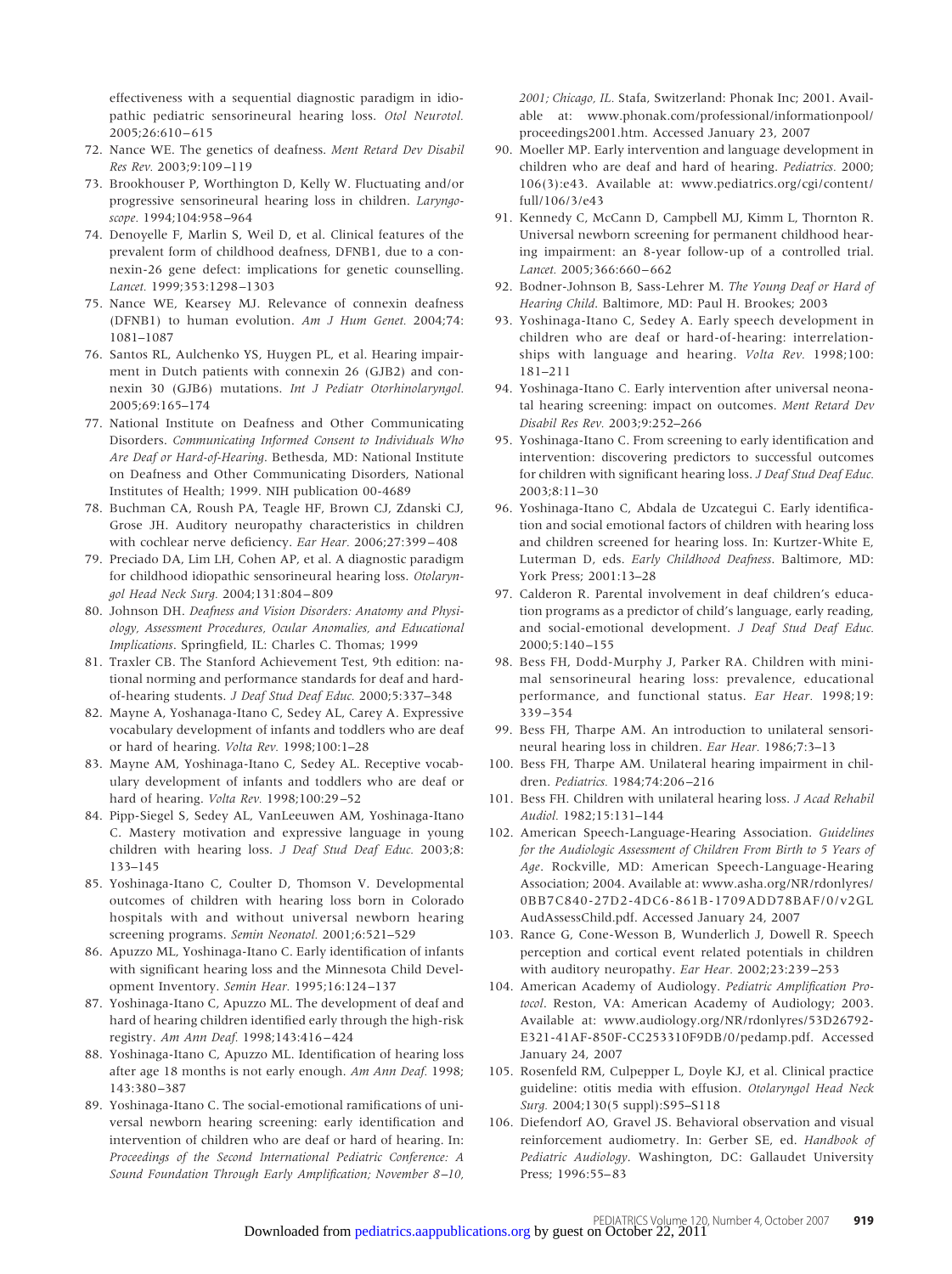effectiveness with a sequential diagnostic paradigm in idiopathic pediatric sensorineural hearing loss. *Otol Neurotol.* 2005;26:610 – 615

- 72. Nance WE. The genetics of deafness. *Ment Retard Dev Disabil Res Rev.* 2003;9:109 –119
- 73. Brookhouser P, Worthington D, Kelly W. Fluctuating and/or progressive sensorineural hearing loss in children. *Laryngoscope.* 1994;104:958 –964
- 74. Denoyelle F, Marlin S, Weil D, et al. Clinical features of the prevalent form of childhood deafness, DFNB1, due to a connexin-26 gene defect: implications for genetic counselling. *Lancet.* 1999;353:1298 –1303
- 75. Nance WE, Kearsey MJ. Relevance of connexin deafness (DFNB1) to human evolution. *Am J Hum Genet.* 2004;74: 1081–1087
- 76. Santos RL, Aulchenko YS, Huygen PL, et al. Hearing impairment in Dutch patients with connexin 26 (GJB2) and connexin 30 (GJB6) mutations. *Int J Pediatr Otorhinolaryngol.* 2005;69:165–174
- 77. National Institute on Deafness and Other Communicating Disorders. *Communicating Informed Consent to Individuals Who Are Deaf or Hard-of-Hearing*. Bethesda, MD: National Institute on Deafness and Other Communicating Disorders, National Institutes of Health; 1999. NIH publication 00-4689
- 78. Buchman CA, Roush PA, Teagle HF, Brown CJ, Zdanski CJ, Grose JH. Auditory neuropathy characteristics in children with cochlear nerve deficiency. *Ear Hear.* 2006;27:399 – 408
- 79. Preciado DA, Lim LH, Cohen AP, et al. A diagnostic paradigm for childhood idiopathic sensorineural hearing loss. *Otolaryngol Head Neck Surg.* 2004;131:804 – 809
- 80. Johnson DH. *Deafness and Vision Disorders: Anatomy and Physiology, Assessment Procedures, Ocular Anomalies, and Educational Implications*. Springfield, IL: Charles C. Thomas; 1999
- 81. Traxler CB. The Stanford Achievement Test, 9th edition: national norming and performance standards for deaf and hardof-hearing students. *J Deaf Stud Deaf Educ.* 2000;5:337–348
- 82. Mayne A, Yoshanaga-Itano C, Sedey AL, Carey A. Expressive vocabulary development of infants and toddlers who are deaf or hard of hearing. *Volta Rev.* 1998;100:1–28
- 83. Mayne AM, Yoshinaga-Itano C, Sedey AL. Receptive vocabulary development of infants and toddlers who are deaf or hard of hearing. *Volta Rev.* 1998;100:29 –52
- 84. Pipp-Siegel S, Sedey AL, VanLeeuwen AM, Yoshinaga-Itano C. Mastery motivation and expressive language in young children with hearing loss. *J Deaf Stud Deaf Educ.* 2003;8: 133–145
- 85. Yoshinaga-Itano C, Coulter D, Thomson V. Developmental outcomes of children with hearing loss born in Colorado hospitals with and without universal newborn hearing screening programs. *Semin Neonatol.* 2001;6:521–529
- 86. Apuzzo ML, Yoshinaga-Itano C. Early identification of infants with significant hearing loss and the Minnesota Child Development Inventory. *Semin Hear.* 1995;16:124 –137
- 87. Yoshinaga-Itano C, Apuzzo ML. The development of deaf and hard of hearing children identified early through the high-risk registry. *Am Ann Deaf.* 1998;143:416 – 424
- 88. Yoshinaga-Itano C, Apuzzo ML. Identification of hearing loss after age 18 months is not early enough. *Am Ann Deaf.* 1998; 143:380 –387
- 89. Yoshinaga-Itano C. The social-emotional ramifications of universal newborn hearing screening: early identification and intervention of children who are deaf or hard of hearing. In: *Proceedings of the Second International Pediatric Conference: A Sound Foundation Through Early Amplification; November 8 –10,*

*2001; Chicago, IL.* Stafa, Switzerland: Phonak Inc; 2001. Available at: www.phonak.com/professional/informationpool/ proceedings2001.htm. Accessed January 23, 2007

- 90. Moeller MP. Early intervention and language development in children who are deaf and hard of hearing. *Pediatrics.* 2000; 106(3):e43. Available at: www.pediatrics.org/cgi/content/ full/106/3/e43
- 91. Kennedy C, McCann D, Campbell MJ, Kimm L, Thornton R. Universal newborn screening for permanent childhood hearing impairment: an 8-year follow-up of a controlled trial. *Lancet.* 2005;366:660 – 662
- 92. Bodner-Johnson B, Sass-Lehrer M. *The Young Deaf or Hard of Hearing Child*. Baltimore, MD: Paul H. Brookes; 2003
- 93. Yoshinaga-Itano C, Sedey A. Early speech development in children who are deaf or hard-of-hearing: interrelationships with language and hearing. *Volta Rev.* 1998;100: 181–211
- 94. Yoshinaga-Itano C. Early intervention after universal neonatal hearing screening: impact on outcomes. *Ment Retard Dev Disabil Res Rev.* 2003;9:252–266
- 95. Yoshinaga-Itano C. From screening to early identification and intervention: discovering predictors to successful outcomes for children with significant hearing loss. *J Deaf Stud Deaf Educ.* 2003;8:11–30
- 96. Yoshinaga-Itano C, Abdala de Uzcategui C. Early identification and social emotional factors of children with hearing loss and children screened for hearing loss. In: Kurtzer-White E, Luterman D, eds. *Early Childhood Deafness*. Baltimore, MD: York Press; 2001:13–28
- 97. Calderon R. Parental involvement in deaf children's education programs as a predictor of child's language, early reading, and social-emotional development. *J Deaf Stud Deaf Educ.* 2000;5:140 –155
- 98. Bess FH, Dodd-Murphy J, Parker RA. Children with minimal sensorineural hearing loss: prevalence, educational performance, and functional status. *Ear Hear.* 1998;19: 339 –354
- 99. Bess FH, Tharpe AM. An introduction to unilateral sensorineural hearing loss in children. *Ear Hear.* 1986;7:3–13
- 100. Bess FH, Tharpe AM. Unilateral hearing impairment in children. *Pediatrics.* 1984;74:206 –216
- 101. Bess FH. Children with unilateral hearing loss. *J Acad Rehabil Audiol.* 1982;15:131–144
- 102. American Speech-Language-Hearing Association. *Guidelines for the Audiologic Assessment of Children From Birth to 5 Years of Age*. Rockville, MD: American Speech-Language-Hearing Association; 2004. Available at: www.asha.org/NR/rdonlyres/ 0BB7C840-27D2-4DC6-861B-1709ADD78BAF/0/v2GL AudAssessChild.pdf. Accessed January 24, 2007
- 103. Rance G, Cone-Wesson B, Wunderlich J, Dowell R. Speech perception and cortical event related potentials in children with auditory neuropathy. *Ear Hear.* 2002;23:239 –253
- 104. American Academy of Audiology. *Pediatric Amplification Protocol*. Reston, VA: American Academy of Audiology; 2003. Available at: www.audiology.org/NR/rdonlyres/53D26792- E321-41AF-850F-CC253310F9DB/0/pedamp.pdf. Accessed January 24, 2007
- 105. Rosenfeld RM, Culpepper L, Doyle KJ, et al. Clinical practice guideline: otitis media with effusion. *Otolaryngol Head Neck Surg.* 2004;130(5 suppl):S95–S118
- 106. Diefendorf AO, Gravel JS. Behavioral observation and visual reinforcement audiometry. In: Gerber SE, ed. *Handbook of Pediatric Audiology*. Washington, DC: Gallaudet University Press; 1996:55– 83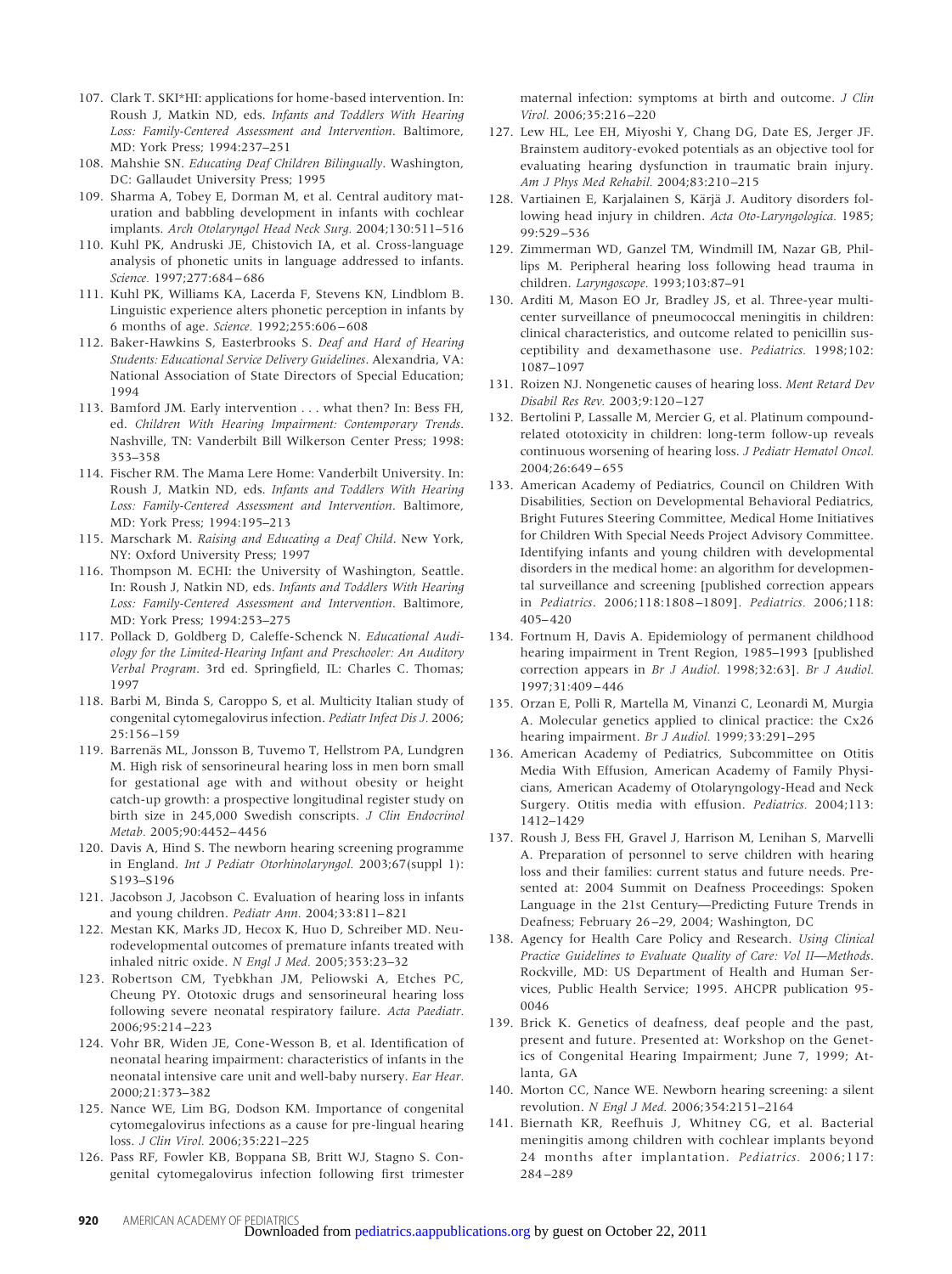- 107. Clark T. SKI\*HI: applications for home-based intervention. In: Roush J, Matkin ND, eds. *Infants and Toddlers With Hearing Loss: Family-Centered Assessment and Intervention*. Baltimore, MD: York Press; 1994:237–251
- 108. Mahshie SN. *Educating Deaf Children Bilingually*. Washington, DC: Gallaudet University Press; 1995
- 109. Sharma A, Tobey E, Dorman M, et al. Central auditory maturation and babbling development in infants with cochlear implants. *Arch Otolaryngol Head Neck Surg.* 2004;130:511–516
- 110. Kuhl PK, Andruski JE, Chistovich IA, et al. Cross-language analysis of phonetic units in language addressed to infants. *Science.* 1997;277:684 – 686
- 111. Kuhl PK, Williams KA, Lacerda F, Stevens KN, Lindblom B. Linguistic experience alters phonetic perception in infants by 6 months of age. *Science.* 1992;255:606 – 608
- 112. Baker-Hawkins S, Easterbrooks S. *Deaf and Hard of Hearing Students: Educational Service Delivery Guidelines*. Alexandria, VA: National Association of State Directors of Special Education; 1994
- 113. Bamford JM. Early intervention . . . what then? In: Bess FH, ed. *Children With Hearing Impairment: Contemporary Trends*. Nashville, TN: Vanderbilt Bill Wilkerson Center Press; 1998: 353–358
- 114. Fischer RM. The Mama Lere Home: Vanderbilt University. In: Roush J, Matkin ND, eds. *Infants and Toddlers With Hearing Loss: Family-Centered Assessment and Intervention*. Baltimore, MD: York Press; 1994:195–213
- 115. Marschark M. *Raising and Educating a Deaf Child*. New York, NY: Oxford University Press; 1997
- 116. Thompson M. ECHI: the University of Washington, Seattle. In: Roush J, Natkin ND, eds. *Infants and Toddlers With Hearing Loss: Family-Centered Assessment and Intervention*. Baltimore, MD: York Press; 1994:253–275
- 117. Pollack D, Goldberg D, Caleffe-Schenck N. *Educational Audiology for the Limited-Hearing Infant and Preschooler: An Auditory Verbal Program*. 3rd ed. Springfield, IL: Charles C. Thomas; 1997
- 118. Barbi M, Binda S, Caroppo S, et al. Multicity Italian study of congenital cytomegalovirus infection. *Pediatr Infect Dis J.* 2006; 25:156 –159
- 119. Barrenäs ML, Jonsson B, Tuvemo T, Hellstrom PA, Lundgren M. High risk of sensorineural hearing loss in men born small for gestational age with and without obesity or height catch-up growth: a prospective longitudinal register study on birth size in 245,000 Swedish conscripts. *J Clin Endocrinol Metab.* 2005;90:4452– 4456
- 120. Davis A, Hind S. The newborn hearing screening programme in England. *Int J Pediatr Otorhinolaryngol.* 2003;67(suppl 1): S193–S196
- 121. Jacobson J, Jacobson C. Evaluation of hearing loss in infants and young children. *Pediatr Ann.* 2004;33:811– 821
- 122. Mestan KK, Marks JD, Hecox K, Huo D, Schreiber MD. Neurodevelopmental outcomes of premature infants treated with inhaled nitric oxide. *N Engl J Med.* 2005;353:23–32
- 123. Robertson CM, Tyebkhan JM, Peliowski A, Etches PC, Cheung PY. Ototoxic drugs and sensorineural hearing loss following severe neonatal respiratory failure. *Acta Paediatr.* 2006;95:214 –223
- 124. Vohr BR, Widen JE, Cone-Wesson B, et al. Identification of neonatal hearing impairment: characteristics of infants in the neonatal intensive care unit and well-baby nursery. *Ear Hear.* 2000;21:373–382
- 125. Nance WE, Lim BG, Dodson KM. Importance of congenital cytomegalovirus infections as a cause for pre-lingual hearing loss. *J Clin Virol.* 2006;35:221–225
- 126. Pass RF, Fowler KB, Boppana SB, Britt WJ, Stagno S. Congenital cytomegalovirus infection following first trimester

maternal infection: symptoms at birth and outcome. *J Clin Virol.* 2006;35:216 –220

- 127. Lew HL, Lee EH, Miyoshi Y, Chang DG, Date ES, Jerger JF. Brainstem auditory-evoked potentials as an objective tool for evaluating hearing dysfunction in traumatic brain injury. *Am J Phys Med Rehabil.* 2004;83:210 –215
- 128. Vartiainen E, Karjalainen S, Kärjä J. Auditory disorders following head injury in children. *Acta Oto-Laryngologica.* 1985; 99:529 –536
- 129. Zimmerman WD, Ganzel TM, Windmill IM, Nazar GB, Phillips M. Peripheral hearing loss following head trauma in children. *Laryngoscope.* 1993;103:87–91
- 130. Arditi M, Mason EO Jr, Bradley JS, et al. Three-year multicenter surveillance of pneumococcal meningitis in children: clinical characteristics, and outcome related to penicillin susceptibility and dexamethasone use. *Pediatrics.* 1998;102: 1087–1097
- 131. Roizen NJ. Nongenetic causes of hearing loss. *Ment Retard Dev Disabil Res Rev.* 2003;9:120 –127
- 132. Bertolini P, Lassalle M, Mercier G, et al. Platinum compoundrelated ototoxicity in children: long-term follow-up reveals continuous worsening of hearing loss. *J Pediatr Hematol Oncol.* 2004;26:649 – 655
- 133. American Academy of Pediatrics, Council on Children With Disabilities, Section on Developmental Behavioral Pediatrics, Bright Futures Steering Committee, Medical Home Initiatives for Children With Special Needs Project Advisory Committee. Identifying infants and young children with developmental disorders in the medical home: an algorithm for developmental surveillance and screening [published correction appears in *Pediatrics*. 2006;118:1808 –1809]. *Pediatrics.* 2006;118: 405– 420
- 134. Fortnum H, Davis A. Epidemiology of permanent childhood hearing impairment in Trent Region, 1985–1993 [published correction appears in *Br J Audiol*. 1998;32:63]. *Br J Audiol.* 1997;31:409 – 446
- 135. Orzan E, Polli R, Martella M, Vinanzi C, Leonardi M, Murgia A. Molecular genetics applied to clinical practice: the Cx26 hearing impairment. *Br J Audiol.* 1999;33:291–295
- 136. American Academy of Pediatrics, Subcommittee on Otitis Media With Effusion, American Academy of Family Physicians, American Academy of Otolaryngology-Head and Neck Surgery. Otitis media with effusion. *Pediatrics.* 2004;113: 1412–1429
- 137. Roush J, Bess FH, Gravel J, Harrison M, Lenihan S, Marvelli A. Preparation of personnel to serve children with hearing loss and their families: current status and future needs. Presented at: 2004 Summit on Deafness Proceedings: Spoken Language in the 21st Century—Predicting Future Trends in Deafness; February 26 –29, 2004; Washington, DC
- 138. Agency for Health Care Policy and Research. *Using Clinical Practice Guidelines to Evaluate Quality of Care: Vol II—Methods*. Rockville, MD: US Department of Health and Human Services, Public Health Service; 1995. AHCPR publication 95- 0046
- 139. Brick K. Genetics of deafness, deaf people and the past, present and future. Presented at: Workshop on the Genetics of Congenital Hearing Impairment; June 7, 1999; Atlanta, GA
- 140. Morton CC, Nance WE. Newborn hearing screening: a silent revolution. *N Engl J Med.* 2006;354:2151–2164
- 141. Biernath KR, Reefhuis J, Whitney CG, et al. Bacterial meningitis among children with cochlear implants beyond 24 months after implantation. *Pediatrics.* 2006;117: 284 –289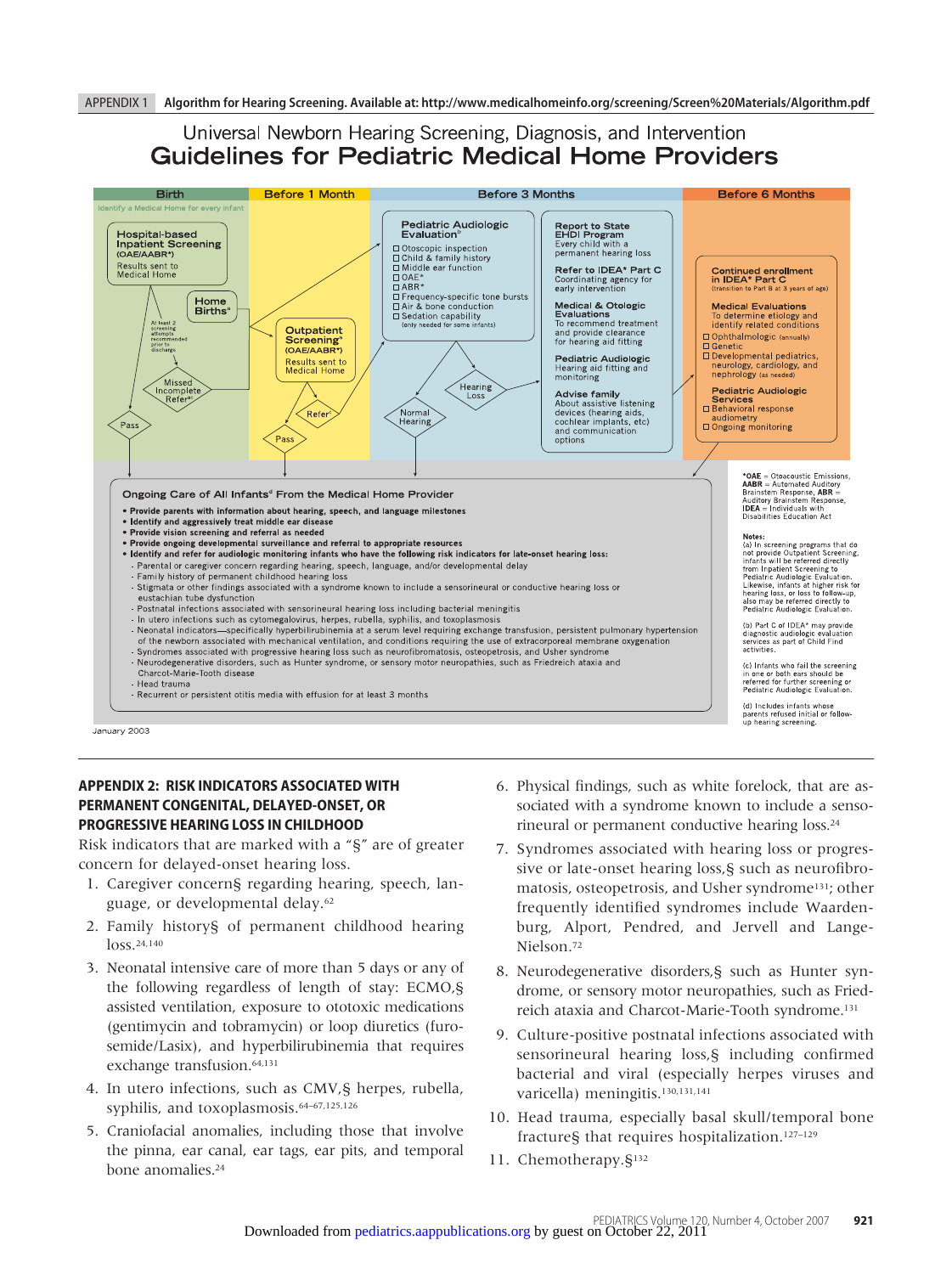### Universal Newborn Hearing Screening, Diagnosis, and Intervention **Guidelines for Pediatric Medical Home Providers**



#### **APPENDIX 2: RISK INDICATORS ASSOCIATED WITH PERMANENT CONGENITAL, DELAYED-ONSET, OR PROGRESSIVE HEARING LOSS IN CHILDHOOD**

Risk indicators that are marked with a "§" are of greater concern for delayed-onset hearing loss.

- 1. Caregiver concern§ regarding hearing, speech, language, or developmental delay.62
- 2. Family history§ of permanent childhood hearing loss.<sup>24,140</sup>
- 3. Neonatal intensive care of more than 5 days or any of the following regardless of length of stay: ECMO,§ assisted ventilation, exposure to ototoxic medications (gentimycin and tobramycin) or loop diuretics (furosemide/Lasix), and hyperbilirubinemia that requires exchange transfusion.<sup>64,131</sup>
- 4. In utero infections, such as CMV,§ herpes, rubella, syphilis, and toxoplasmosis.64–67,125,126
- 5. Craniofacial anomalies, including those that involve the pinna, ear canal, ear tags, ear pits, and temporal bone anomalies.24
- 6. Physical findings, such as white forelock, that are associated with a syndrome known to include a sensorineural or permanent conductive hearing loss.24
- 7. Syndromes associated with hearing loss or progressive or late-onset hearing loss,§ such as neurofibromatosis, osteopetrosis, and Usher syndrome131; other frequently identified syndromes include Waardenburg, Alport, Pendred, and Jervell and Lange-Nielson.72
- 8. Neurodegenerative disorders,§ such as Hunter syndrome, or sensory motor neuropathies, such as Friedreich ataxia and Charcot-Marie-Tooth syndrome.131
- 9. Culture-positive postnatal infections associated with sensorineural hearing loss,§ including confirmed bacterial and viral (especially herpes viruses and varicella) meningitis.130,131,141
- 10. Head trauma, especially basal skull/temporal bone fracture§ that requires hospitalization.<sup>127-129</sup>
- 11. Chemotherapy.§132